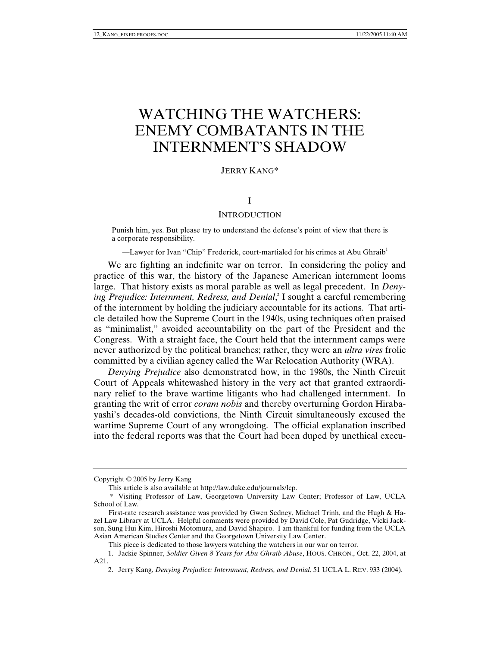# WATCHING THE WATCHERS: ENEMY COMBATANTS IN THE INTERNMENT'S SHADOW

# JERRY KANG\*

# I

# **INTRODUCTION**

Punish him, yes. But please try to understand the defense's point of view that there is a corporate responsibility.

—Lawyer for Ivan "Chip" Frederick, court-martialed for his crimes at Abu Ghraib<sup>1</sup>

We are fighting an indefinite war on terror. In considering the policy and practice of this war, the history of the Japanese American internment looms large. That history exists as moral parable as well as legal precedent. In *Deny*ing Prejudice: Internment, Redress, and Denial,<sup>2</sup> I sought a careful remembering of the internment by holding the judiciary accountable for its actions. That article detailed how the Supreme Court in the 1940s, using techniques often praised as "minimalist," avoided accountability on the part of the President and the Congress. With a straight face, the Court held that the internment camps were never authorized by the political branches; rather, they were an *ultra vires* frolic committed by a civilian agency called the War Relocation Authority (WRA).

*Denying Prejudice* also demonstrated how, in the 1980s, the Ninth Circuit Court of Appeals whitewashed history in the very act that granted extraordinary relief to the brave wartime litigants who had challenged internment. In granting the writ of error *coram nobis* and thereby overturning Gordon Hirabayashi's decades-old convictions, the Ninth Circuit simultaneously excused the wartime Supreme Court of any wrongdoing. The official explanation inscribed into the federal reports was that the Court had been duped by unethical execu-

This piece is dedicated to those lawyers watching the watchers in our war on terror.

Copyright © 2005 by Jerry Kang

This article is also available at http://law.duke.edu/journals/lcp.

 <sup>\*</sup> Visiting Professor of Law, Georgetown University Law Center; Professor of Law, UCLA School of Law.

First-rate research assistance was provided by Gwen Sedney, Michael Trinh, and the Hugh & Hazel Law Library at UCLA. Helpful comments were provided by David Cole, Pat Gudridge, Vicki Jackson, Sung Hui Kim, Hiroshi Motomura, and David Shapiro. I am thankful for funding from the UCLA Asian American Studies Center and the Georgetown University Law Center.

 <sup>1.</sup> Jackie Spinner, *Soldier Given 8 Years for Abu Ghraib Abuse*, HOUS. CHRON., Oct. 22, 2004, at A21.

 <sup>2.</sup> Jerry Kang, *Denying Prejudice: Internment, Redress, and Denial*, 51 UCLA L. REV. 933 (2004).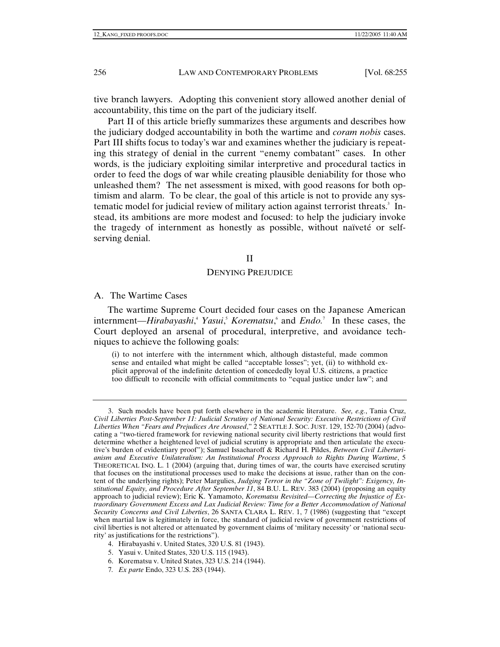tive branch lawyers. Adopting this convenient story allowed another denial of accountability, this time on the part of the judiciary itself.

Part II of this article briefly summarizes these arguments and describes how the judiciary dodged accountability in both the wartime and *coram nobis* cases. Part III shifts focus to today's war and examines whether the judiciary is repeating this strategy of denial in the current "enemy combatant" cases. In other words, is the judiciary exploiting similar interpretive and procedural tactics in order to feed the dogs of war while creating plausible deniability for those who unleashed them? The net assessment is mixed, with good reasons for both optimism and alarm. To be clear, the goal of this article is not to provide any systematic model for judicial review of military action against terrorist threats.<sup>3</sup> Instead, its ambitions are more modest and focused: to help the judiciary invoke the tragedy of internment as honestly as possible, without naïveté or selfserving denial.

### II

#### DENYING PREJUDICE

A. The Wartime Cases

The wartime Supreme Court decided four cases on the Japanese American internment—*Hirabayashi*, 4 *Yasui*, 5 *Korematsu*, 6 and *Endo.*<sup>7</sup> In these cases, the Court deployed an arsenal of procedural, interpretive, and avoidance techniques to achieve the following goals:

(i) to not interfere with the internment which, although distasteful, made common sense and entailed what might be called "acceptable losses"; yet, (ii) to withhold explicit approval of the indefinite detention of concededly loyal U.S. citizens, a practice too difficult to reconcile with official commitments to "equal justice under law"; and

 <sup>3.</sup> Such models have been put forth elsewhere in the academic literature. *See, e.g.*, Tania Cruz, *Civil Liberties Post-September 11: Judicial Scrutiny of National Security: Executive Restrictions of Civil Liberties When "Fears and Prejudices Are Aroused*," 2 SEATTLE J. SOC. JUST. 129, 152-70 (2004) (advocating a "two-tiered framework for reviewing national security civil liberty restrictions that would first determine whether a heightened level of judicial scrutiny is appropriate and then articulate the executive's burden of evidentiary proof"); Samuel Issacharoff & Richard H. Pildes, *Between Civil Libertarianism and Executive Unilateralism: An Institutional Process Approach to Rights During Wartime*, 5 THEORETICAL INQ. L. 1 (2004) (arguing that, during times of war, the courts have exercised scrutiny that focuses on the institutional processes used to make the decisions at issue, rather than on the content of the underlying rights); Peter Margulies, *Judging Terror in the "Zone of Twilight": Exigency, Institutional Equity, and Procedure After September 11*, 84 B.U. L. REV. 383 (2004) (proposing an equity approach to judicial review); Eric K. Yamamoto, *Korematsu Revisited—Correcting the Injustice of Extraordinary Government Excess and Lax Judicial Review: Time for a Better Accommodation of National Security Concerns and Civil Liberties*, 26 SANTA CLARA L. REV. 1, 7 (1986) (suggesting that "except when martial law is legitimately in force, the standard of judicial review of government restrictions of civil liberties is not altered or attenuated by government claims of 'military necessity' or 'national security' as justifications for the restrictions").

 <sup>4.</sup> Hirabayashi v. United States, 320 U.S. 81 (1943).

 <sup>5.</sup> Yasui v. United States, 320 U.S. 115 (1943).

 <sup>6.</sup> Korematsu v. United States, 323 U.S. 214 (1944).

<sup>7</sup>*. Ex parte* Endo, 323 U.S. 283 (1944).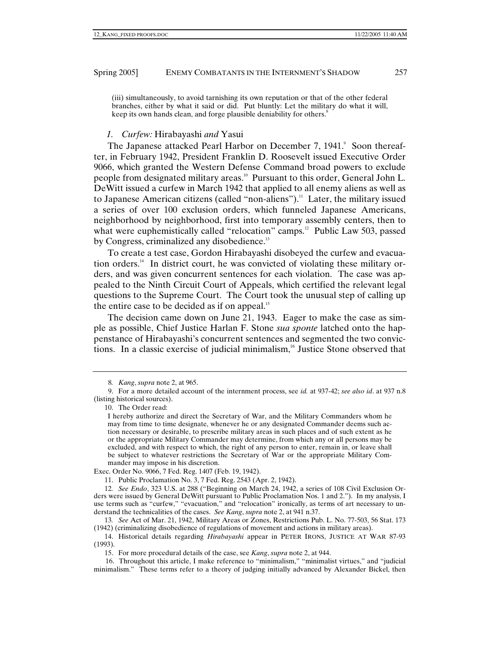(iii) simultaneously, to avoid tarnishing its own reputation or that of the other federal branches, either by what it said or did. Put bluntly: Let the military do what it will, keep its own hands clean, and forge plausible deniability for others.<sup>8</sup>

#### *1. Curfew:* Hirabayashi *and* Yasui

The Japanese attacked Pearl Harbor on December 7, 1941. Soon thereafter, in February 1942, President Franklin D. Roosevelt issued Executive Order 9066, which granted the Western Defense Command broad powers to exclude people from designated military areas.10 Pursuant to this order, General John L. DeWitt issued a curfew in March 1942 that applied to all enemy aliens as well as to Japanese American citizens (called "non-aliens").<sup>11</sup> Later, the military issued a series of over 100 exclusion orders, which funneled Japanese Americans, neighborhood by neighborhood, first into temporary assembly centers, then to what were euphemistically called "relocation" camps.<sup>12</sup> Public Law 503, passed by Congress, criminalized any disobedience.<sup>13</sup>

To create a test case, Gordon Hirabayashi disobeyed the curfew and evacuation orders.14 In district court, he was convicted of violating these military orders, and was given concurrent sentences for each violation. The case was appealed to the Ninth Circuit Court of Appeals, which certified the relevant legal questions to the Supreme Court. The Court took the unusual step of calling up the entire case to be decided as if on appeal.<sup>15</sup>

The decision came down on June 21, 1943. Eager to make the case as simple as possible, Chief Justice Harlan F. Stone *sua sponte* latched onto the happenstance of Hirabayashi's concurrent sentences and segmented the two convictions. In a classic exercise of judicial minimalism,<sup>16</sup> Justice Stone observed that

10. The Order read:

Exec. Order No. 9066, 7 Fed. Reg. 1407 (Feb. 19, 1942).

11. Public Proclamation No. 3, 7 Fed. Reg. 2543 (Apr. 2, 1942).

12*. See Endo*, 323 U.S. at 288 ("Beginning on March 24, 1942, a series of 108 Civil Exclusion Orders were issued by General DeWitt pursuant to Public Proclamation Nos. 1 and 2."). In my analysis, I use terms such as "curfew," "evacuation," and "relocation" ironically, as terms of art necessary to understand the technicalities of the cases. *See Kang*, *supra* note 2, at 941 n.37.

13*. See* Act of Mar. 21, 1942, Military Areas or Zones, Restrictions Pub. L. No. 77-503, 56 Stat. 173 (1942) (criminalizing disobedience of regulations of movement and actions in military areas).

 14. Historical details regarding *Hirabayashi* appear in PETER IRONS, JUSTICE AT WAR 87-93 (1993).

15. For more procedural details of the case, see *Kang*, *supra* note 2, at 944.

16. Throughout this article, I make reference to "minimalism," "minimalist virtues," and "judicial minimalism." These terms refer to a theory of judging initially advanced by Alexander Bickel, then

<sup>8</sup>*. Kang*, *supra* note 2, at 965.

 <sup>9.</sup> For a more detailed account of the internment process, see *id.* at 937-42; *see also id*. at 937 n.8 (listing historical sources).

I hereby authorize and direct the Secretary of War, and the Military Commanders whom he may from time to time designate, whenever he or any designated Commander deems such action necessary or desirable, to prescribe military areas in such places and of such extent as he or the appropriate Military Commander may determine, from which any or all persons may be excluded, and with respect to which, the right of any person to enter, remain in, or leave shall be subject to whatever restrictions the Secretary of War or the appropriate Military Commander may impose in his discretion.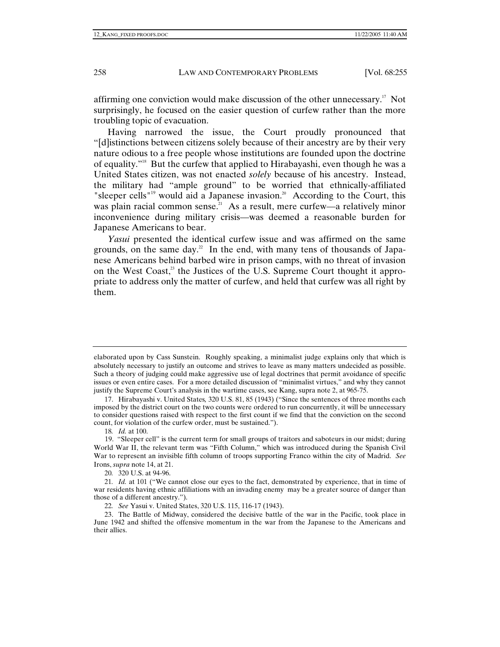affirming one conviction would make discussion of the other unnecessary.17 Not surprisingly, he focused on the easier question of curfew rather than the more troubling topic of evacuation.

Having narrowed the issue, the Court proudly pronounced that "[d]istinctions between citizens solely because of their ancestry are by their very nature odious to a free people whose institutions are founded upon the doctrine of equality."18 But the curfew that applied to Hirabayashi, even though he was a United States citizen, was not enacted *solely* because of his ancestry. Instead, the military had "ample ground" to be worried that ethnically-affiliated "sleeper cells"<sup>19</sup> would aid a Japanese invasion.<sup>20</sup> According to the Court, this was plain racial common sense.<sup>21</sup> As a result, mere curfew—a relatively minor inconvenience during military crisis—was deemed a reasonable burden for Japanese Americans to bear.

*Yasui* presented the identical curfew issue and was affirmed on the same grounds, on the same day.<sup>22</sup> In the end, with many tens of thousands of Japanese Americans behind barbed wire in prison camps, with no threat of invasion on the West Coast,<sup>23</sup> the Justices of the U.S. Supreme Court thought it appropriate to address only the matter of curfew, and held that curfew was all right by them.

18*. Id.* at 100.

20*.* 320 U.S. at 94-96.

elaborated upon by Cass Sunstein. Roughly speaking, a minimalist judge explains only that which is absolutely necessary to justify an outcome and strives to leave as many matters undecided as possible. Such a theory of judging could make aggressive use of legal doctrines that permit avoidance of specific issues or even entire cases. For a more detailed discussion of "minimalist virtues," and why they cannot justify the Supreme Court's analysis in the wartime cases, see Kang, supra note 2, at 965-75.

 <sup>17.</sup> Hirabayashi v. United States*,* 320 U.S. 81, 85 (1943) ("Since the sentences of three months each imposed by the district court on the two counts were ordered to run concurrently, it will be unnecessary to consider questions raised with respect to the first count if we find that the conviction on the second count, for violation of the curfew order, must be sustained.").

<sup>19. &</sup>quot;Sleeper cell" is the current term for small groups of traitors and saboteurs in our midst; during World War II, the relevant term was "Fifth Column," which was introduced during the Spanish Civil War to represent an invisible fifth column of troops supporting Franco within the city of Madrid. *See*  Irons, *supra* note 14, at 21.

<sup>21</sup>*. Id.* at 101 ("We cannot close our eyes to the fact, demonstrated by experience, that in time of war residents having ethnic affiliations with an invading enemy may be a greater source of danger than those of a different ancestry.").

<sup>22</sup>*. See* Yasui v. United States, 320 U.S. 115, 116-17 (1943).

 <sup>23.</sup> The Battle of Midway, considered the decisive battle of the war in the Pacific, took place in June 1942 and shifted the offensive momentum in the war from the Japanese to the Americans and their allies.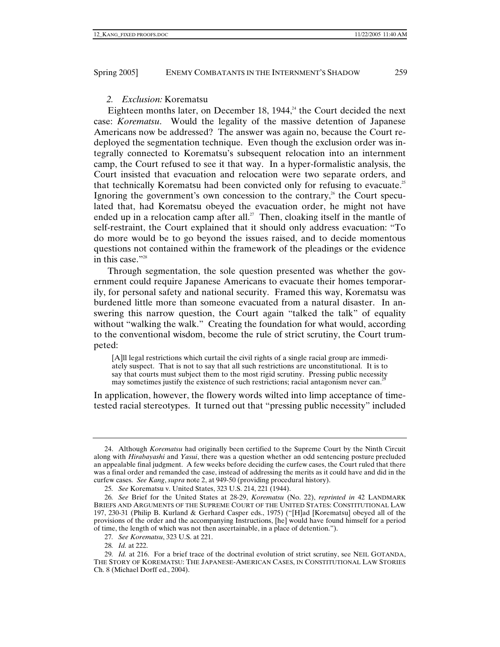## *2. Exclusion:* Korematsu

Eighteen months later, on December 18, 1944, $4$ <sup>4</sup> the Court decided the next case: *Korematsu*. Would the legality of the massive detention of Japanese Americans now be addressed? The answer was again no, because the Court redeployed the segmentation technique. Even though the exclusion order was integrally connected to Korematsu's subsequent relocation into an internment camp, the Court refused to see it that way. In a hyper-formalistic analysis, the Court insisted that evacuation and relocation were two separate orders, and that technically Korematsu had been convicted only for refusing to evacuate.<sup>25</sup> Ignoring the government's own concession to the contrary, $26$  the Court speculated that, had Korematsu obeyed the evacuation order, he might not have ended up in a relocation camp after all.<sup>27</sup> Then, cloaking itself in the mantle of self-restraint, the Court explained that it should only address evacuation: "To do more would be to go beyond the issues raised, and to decide momentous questions not contained within the framework of the pleadings or the evidence in this case."<sup>28</sup>

Through segmentation, the sole question presented was whether the government could require Japanese Americans to evacuate their homes temporarily, for personal safety and national security. Framed this way, Korematsu was burdened little more than someone evacuated from a natural disaster. In answering this narrow question, the Court again "talked the talk" of equality without "walking the walk." Creating the foundation for what would, according to the conventional wisdom, become the rule of strict scrutiny, the Court trumpeted:

[A]ll legal restrictions which curtail the civil rights of a single racial group are immediately suspect. That is not to say that all such restrictions are unconstitutional. It is to say that courts must subject them to the most rigid scrutiny. Pressing public necessity may sometimes justify the existence of such restrictions; racial antagonism never can.

In application, however, the flowery words wilted into limp acceptance of timetested racial stereotypes. It turned out that "pressing public necessity" included

 <sup>24.</sup> Although *Korematsu* had originally been certified to the Supreme Court by the Ninth Circuit along with *Hirabayashi* and *Yasui*, there was a question whether an odd sentencing posture precluded an appealable final judgment. A few weeks before deciding the curfew cases, the Court ruled that there was a final order and remanded the case, instead of addressing the merits as it could have and did in the curfew cases. *See Kang*, *supra* note 2, at 949-50 (providing procedural history).

<sup>25</sup>*. See* Korematsu v. United States, 323 U.S. 214, 221 (1944).

<sup>26</sup>*. See* Brief for the United States at 28-29, *Korematsu* (No. 22), *reprinted in* 42 LANDMARK BRIEFS AND ARGUMENTS OF THE SUPREME COURT OF THE UNITED STATES: CONSTITUTIONAL LAW 197, 230-31 (Philip B. Kurland & Gerhard Casper eds., 1975) ("[H]ad [Korematsu] obeyed all of the provisions of the order and the accompanying Instructions, [he] would have found himself for a period of time, the length of which was not then ascertainable, in a place of detention.").

<sup>27</sup>*. See Korematsu*, 323 U.S. at 221.

<sup>28</sup>*. Id.* at 222.

<sup>29</sup>*. Id.* at 216. For a brief trace of the doctrinal evolution of strict scrutiny, see NEIL GOTANDA, THE STORY OF KOREMATSU: THE JAPANESE-AMERICAN CASES, IN CONSTITUTIONAL LAW STORIES Ch. 8 (Michael Dorff ed., 2004).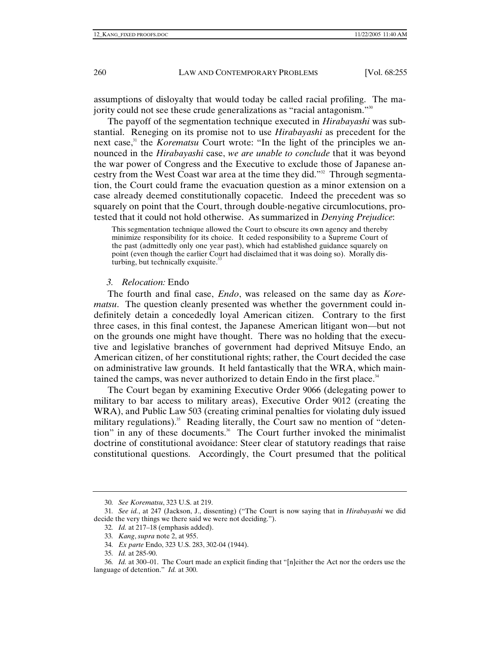assumptions of disloyalty that would today be called racial profiling. The majority could not see these crude generalizations as "racial antagonism."30

The payoff of the segmentation technique executed in *Hirabayashi* was substantial. Reneging on its promise not to use *Hirabayashi* as precedent for the next case,<sup>31</sup> the *Korematsu* Court wrote: "In the light of the principles we announced in the *Hirabayashi* case, *we are unable to conclude* that it was beyond the war power of Congress and the Executive to exclude those of Japanese ancestry from the West Coast war area at the time they did."32 Through segmentation, the Court could frame the evacuation question as a minor extension on a case already deemed constitutionally copacetic. Indeed the precedent was so squarely on point that the Court, through double-negative circumlocutions, protested that it could not hold otherwise. As summarized in *Denying Prejudice*:

This segmentation technique allowed the Court to obscure its own agency and thereby minimize responsibility for its choice. It ceded responsibility to a Supreme Court of the past (admittedly only one year past), which had established guidance squarely on point (even though the earlier Court had disclaimed that it was doing so). Morally disturbing, but technically exquisite.<sup>3</sup>

## *3. Relocation:* Endo

The fourth and final case, *Endo*, was released on the same day as *Korematsu*. The question cleanly presented was whether the government could indefinitely detain a concededly loyal American citizen. Contrary to the first three cases, in this final contest, the Japanese American litigant won—but not on the grounds one might have thought. There was no holding that the executive and legislative branches of government had deprived Mitsuye Endo, an American citizen, of her constitutional rights; rather, the Court decided the case on administrative law grounds. It held fantastically that the WRA, which maintained the camps, was never authorized to detain Endo in the first place.<sup>34</sup>

The Court began by examining Executive Order 9066 (delegating power to military to bar access to military areas), Executive Order 9012 (creating the WRA), and Public Law 503 (creating criminal penalties for violating duly issued military regulations).<sup>35</sup> Reading literally, the Court saw no mention of "detention" in any of these documents. $36$  The Court further invoked the minimalist doctrine of constitutional avoidance: Steer clear of statutory readings that raise constitutional questions. Accordingly, the Court presumed that the political

<sup>30</sup>*. See Korematsu*, 323 U.S. at 219.

<sup>31</sup>*. See id.*, at 247 (Jackson, J., dissenting) ("The Court is now saying that in *Hirabayashi* we did decide the very things we there said we were not deciding.").

<sup>32</sup>*. Id.* at 217–18 (emphasis added).

<sup>33</sup>*. Kang*, *supra* note 2, at 955.

<sup>34</sup>*. Ex parte* Endo, 323 U.S. 283, 302-04 (1944).

<sup>35</sup>*. Id.* at 285-90.

<sup>36</sup>*. Id.* at 300–01. The Court made an explicit finding that "[n]either the Act nor the orders use the language of detention." *Id.* at 300.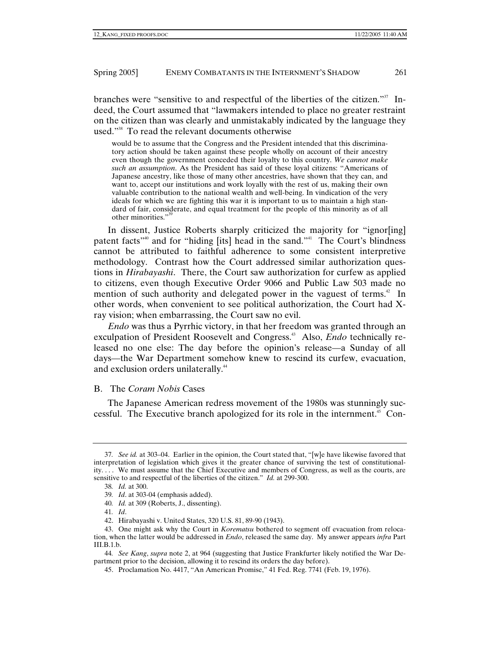branches were "sensitive to and respectful of the liberties of the citizen."<sup>37</sup> Indeed, the Court assumed that "lawmakers intended to place no greater restraint on the citizen than was clearly and unmistakably indicated by the language they used."38 To read the relevant documents otherwise

would be to assume that the Congress and the President intended that this discriminatory action should be taken against these people wholly on account of their ancestry even though the government conceded their loyalty to this country. *We cannot make such an assumption*. As the President has said of these loyal citizens: "Americans of Japanese ancestry, like those of many other ancestries, have shown that they can, and want to, accept our institutions and work loyally with the rest of us, making their own valuable contribution to the national wealth and well-being. In vindication of the very ideals for which we are fighting this war it is important to us to maintain a high standard of fair, considerate, and equal treatment for the people of this minority as of all other minorities."39

In dissent, Justice Roberts sharply criticized the majority for "ignor[ing] patent facts<sup>"40</sup> and for "hiding [its] head in the sand."<sup>41</sup> The Court's blindness cannot be attributed to faithful adherence to some consistent interpretive methodology. Contrast how the Court addressed similar authorization questions in *Hirabayashi*. There, the Court saw authorization for curfew as applied to citizens, even though Executive Order 9066 and Public Law 503 made no mention of such authority and delegated power in the vaguest of terms.<sup>42</sup> In other words, when convenient to see political authorization, the Court had Xray vision; when embarrassing, the Court saw no evil.

*Endo* was thus a Pyrrhic victory, in that her freedom was granted through an exculpation of President Roosevelt and Congress.<sup>43</sup> Also, *Endo* technically released no one else: The day before the opinion's release—a Sunday of all days—the War Department somehow knew to rescind its curfew, evacuation, and exclusion orders unilaterally.<sup>44</sup>

#### B. The *Coram Nobis* Cases

The Japanese American redress movement of the 1980s was stunningly successful. The Executive branch apologized for its role in the internment.45 Con-

40*. Id.* at 309 (Roberts, J., dissenting).

44*. See Kang*, *supra* note 2, at 964 (suggesting that Justice Frankfurter likely notified the War Department prior to the decision, allowing it to rescind its orders the day before).

<sup>37</sup>*. See id.* at 303–04. Earlier in the opinion, the Court stated that, "[w]e have likewise favored that interpretation of legislation which gives it the greater chance of surviving the test of constitutionality. . . . We must assume that the Chief Executive and members of Congress, as well as the courts, are sensitive to and respectful of the liberties of the citizen." *Id.* at 299-300.

<sup>38</sup>*. Id.* at 300.

<sup>39</sup>*. Id*. at 303-04 (emphasis added).

<sup>41</sup>*. Id*.

 <sup>42.</sup> Hirabayashi v. United States, 320 U.S. 81, 89-90 (1943).

 <sup>43.</sup> One might ask why the Court in *Korematsu* bothered to segment off evacuation from relocation, when the latter would be addressed in *Endo*, released the same day. My answer appears *infra* Part III.B.1.b.

 <sup>45.</sup> Proclamation No. 4417, "An American Promise," 41 Fed. Reg. 7741 (Feb. 19, 1976).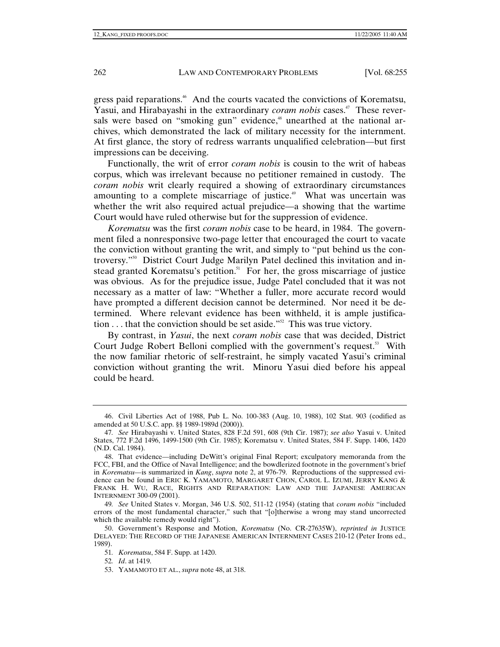gress paid reparations.<sup>46</sup> And the courts vacated the convictions of Korematsu, Yasui, and Hirabayashi in the extraordinary *coram nobis* cases.<sup>47</sup> These reversals were based on "smoking gun" evidence,<sup>48</sup> unearthed at the national archives, which demonstrated the lack of military necessity for the internment. At first glance, the story of redress warrants unqualified celebration—but first impressions can be deceiving.

Functionally, the writ of error *coram nobis* is cousin to the writ of habeas corpus, which was irrelevant because no petitioner remained in custody. The *coram nobis* writ clearly required a showing of extraordinary circumstances amounting to a complete miscarriage of justice.<sup>49</sup> What was uncertain was whether the writ also required actual prejudice—a showing that the wartime Court would have ruled otherwise but for the suppression of evidence.

*Korematsu* was the first *coram nobis* case to be heard, in 1984. The government filed a nonresponsive two-page letter that encouraged the court to vacate the conviction without granting the writ, and simply to "put behind us the controversy."50 District Court Judge Marilyn Patel declined this invitation and instead granted Korematsu's petition.<sup>51</sup> For her, the gross miscarriage of justice was obvious. As for the prejudice issue, Judge Patel concluded that it was not necessary as a matter of law: "Whether a fuller, more accurate record would have prompted a different decision cannot be determined. Nor need it be determined. Where relevant evidence has been withheld, it is ample justification  $\dots$  that the conviction should be set aside."<sup>52</sup> This was true victory.

By contrast, in *Yasui*, the next *coram nobis* case that was decided, District Court Judge Robert Belloni complied with the government's request.<sup>53</sup> With the now familiar rhetoric of self-restraint, he simply vacated Yasui's criminal conviction without granting the writ. Minoru Yasui died before his appeal could be heard.

53. YAMAMOTO ET AL., *supra* note 48, at 318.

 <sup>46.</sup> Civil Liberties Act of 1988, Pub L. No. 100-383 (Aug. 10, 1988), 102 Stat. 903 (codified as amended at 50 U.S.C. app. §§ 1989-1989d (2000)).

<sup>47</sup>*. See* Hirabayashi v. United States, 828 F.2d 591, 608 (9th Cir. 1987); *see also* Yasui v. United States, 772 F.2d 1496, 1499-1500 (9th Cir. 1985); Korematsu v. United States, 584 F. Supp. 1406, 1420 (N.D. Cal. 1984).

 <sup>48.</sup> That evidence—including DeWitt's original Final Report; exculpatory memoranda from the FCC, FBI, and the Office of Naval Intelligence; and the bowdlerized footnote in the government's brief in *Korematsu*—is summarized in *Kang*, *supra* note 2, at 976-79. Reproductions of the suppressed evidence can be found in ERIC K. YAMAMOTO, MARGARET CHON, CAROL L. IZUMI, JERRY KANG & FRANK H. WU, RACE, RIGHTS AND REPARATION: LAW AND THE JAPANESE AMERICAN INTERNMENT 300-09 (2001).

<sup>49</sup>*. See* United States v. Morgan, 346 U.S. 502, 511-12 (1954) (stating that *coram nobis* "included errors of the most fundamental character," such that "[o]therwise a wrong may stand uncorrected which the available remedy would right").

 <sup>50.</sup> Government's Response and Motion, *Korematsu* (No. CR-27635W), *reprinted in* JUSTICE DELAYED: THE RECORD OF THE JAPANESE AMERICAN INTERNMENT CASES 210-12 (Peter Irons ed., 1989).

<sup>51</sup>*. Korematsu*, 584 F. Supp. at 1420.

<sup>52</sup>*. Id*. at 1419.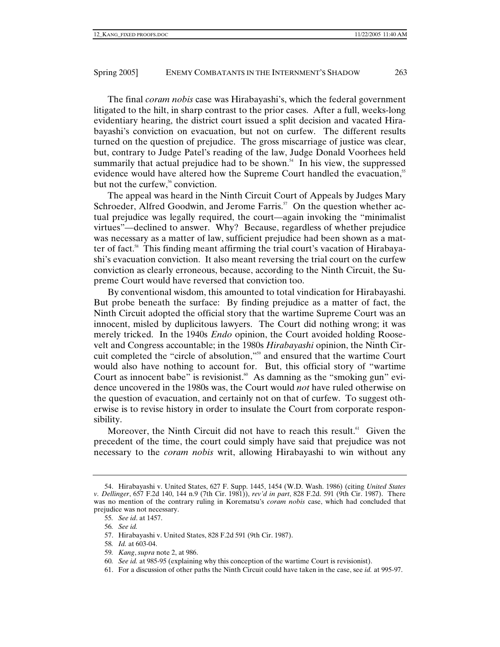The final *coram nobis* case was Hirabayashi's, which the federal government litigated to the hilt, in sharp contrast to the prior cases. After a full, weeks-long evidentiary hearing, the district court issued a split decision and vacated Hirabayashi's conviction on evacuation, but not on curfew. The different results turned on the question of prejudice. The gross miscarriage of justice was clear, but, contrary to Judge Patel's reading of the law, Judge Donald Voorhees held summarily that actual prejudice had to be shown.<sup>54</sup> In his view, the suppressed evidence would have altered how the Supreme Court handled the evacuation,<sup>55</sup> but not the curfew,<sup>56</sup> conviction.

The appeal was heard in the Ninth Circuit Court of Appeals by Judges Mary Schroeder, Alfred Goodwin, and Jerome Farris.<sup>57</sup> On the question whether actual prejudice was legally required, the court—again invoking the "minimalist virtues"—declined to answer. Why? Because, regardless of whether prejudice was necessary as a matter of law, sufficient prejudice had been shown as a matter of fact.<sup>58</sup> This finding meant affirming the trial court's vacation of Hirabayashi's evacuation conviction. It also meant reversing the trial court on the curfew conviction as clearly erroneous, because, according to the Ninth Circuit, the Supreme Court would have reversed that conviction too.

By conventional wisdom, this amounted to total vindication for Hirabayashi. But probe beneath the surface: By finding prejudice as a matter of fact, the Ninth Circuit adopted the official story that the wartime Supreme Court was an innocent, misled by duplicitous lawyers. The Court did nothing wrong; it was merely tricked. In the 1940s *Endo* opinion, the Court avoided holding Roosevelt and Congress accountable; in the 1980s *Hirabayashi* opinion, the Ninth Circuit completed the "circle of absolution,"59 and ensured that the wartime Court would also have nothing to account for. But, this official story of "wartime Court as innocent babe" is revisionist.<sup>60</sup> As damning as the "smoking gun" evidence uncovered in the 1980s was, the Court would *not* have ruled otherwise on the question of evacuation, and certainly not on that of curfew. To suggest otherwise is to revise history in order to insulate the Court from corporate responsibility.

Moreover, the Ninth Circuit did not have to reach this result.<sup>61</sup> Given the precedent of the time, the court could simply have said that prejudice was not necessary to the *coram nobis* writ, allowing Hirabayashi to win without any

- 57. Hirabayashi v. United States, 828 F.2d 591 (9th Cir. 1987).
- 58*. Id.* at 603-04.
- 59*. Kang*, *supra* note 2, at 986.
- 60*. See id.* at 985-95 (explaining why this conception of the wartime Court is revisionist).
- 61. For a discussion of other paths the Ninth Circuit could have taken in the case, see *id.* at 995-97.

 <sup>54.</sup> Hirabayashi v. United States, 627 F. Supp. 1445, 1454 (W.D. Wash. 1986) (citing *United States v. Dellinger*, 657 F.2d 140, 144 n.9 (7th Cir. 1981)), *rev'd in part*, 828 F.2d. 591 (9th Cir. 1987). There was no mention of the contrary ruling in Korematsu's *coram nobis* case, which had concluded that prejudice was not necessary.

<sup>55</sup>*. See id*. at 1457.

<sup>56</sup>*. See id.*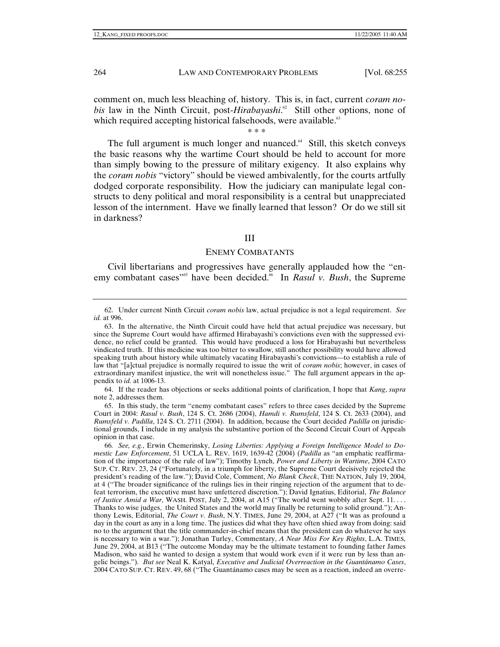comment on, much less bleaching of, history. This is, in fact, current *coram nobis* law in the Ninth Circuit, post-*Hirabayashi*.<sup>2</sup> Still other options, none of which required accepting historical falsehoods, were available.<sup>63</sup>

# \* \* \*

The full argument is much longer and nuanced. $64$  Still, this sketch conveys the basic reasons why the wartime Court should be held to account for more than simply bowing to the pressure of military exigency. It also explains why the *coram nobis* "victory" should be viewed ambivalently, for the courts artfully dodged corporate responsibility. How the judiciary can manipulate legal constructs to deny political and moral responsibility is a central but unappreciated lesson of the internment. Have we finally learned that lesson? Or do we still sit in darkness?

## III

#### ENEMY COMBATANTS

Civil libertarians and progressives have generally applauded how the "enemy combatant cases<sup>"65</sup> have been decided.<sup>66</sup> In *Rasul v. Bush*, the Supreme

 64. If the reader has objections or seeks additional points of clarification, I hope that *Kang*, *supra*  note 2, addresses them.

 65. In this study, the term "enemy combatant cases" refers to three cases decided by the Supreme Court in 2004: *Rasul v. Bush*, 124 S. Ct. 2686 (2004), *Hamdi v. Rumsfeld*, 124 S. Ct. 2633 (2004), and *Rumsfeld v. Padilla*, 124 S. Ct. 2711 (2004). In addition, because the Court decided *Padilla* on jurisdictional grounds, I include in my analysis the substantive portion of the Second Circuit Court of Appeals opinion in that case.

66*. See, e.g.*, Erwin Chemerinsky, *Losing Liberties: Applying a Foreign Intelligence Model to Domestic Law Enforcement*, 51 UCLA L. REV. 1619, 1639-42 (2004) (*Padilla* as "an emphatic reaffirmation of the importance of the rule of law"); Timothy Lynch, *Power and Liberty in Wartime*, 2004 CATO SUP. CT. REV. 23, 24 ("Fortunately, in a triumph for liberty, the Supreme Court decisively rejected the president's reading of the law."); David Cole, Comment, *No Blank Check*, THE NATION, July 19, 2004, at 4 ("The broader significance of the rulings lies in their ringing rejection of the argument that to defeat terrorism, the executive must have unfettered discretion."); David Ignatius, Editorial, *The Balance of Justice Amid a War*, WASH. POST, July 2, 2004, at A15 ("The world went wobbly after Sept. 11. . . . Thanks to wise judges, the United States and the world may finally be returning to solid ground."); Anthony Lewis, Editorial, *The Court v. Bush*, N.Y. TIMES, June 29, 2004, at A27 ("It was as profound a day in the court as any in a long time. The justices did what they have often shied away from doing: said no to the argument that the title commander-in-chief means that the president can do whatever he says is necessary to win a war."); Jonathan Turley, Commentary, *A Near Miss For Key Rights*, L.A. TIMES, June 29, 2004, at B13 ("The outcome Monday may be the ultimate testament to founding father James Madison, who said he wanted to design a system that would work even if it were run by less than angelic beings."). *But see* Neal K. Katyal, *Executive and Judicial Overreaction in the Guantánamo Cases*, 2004 CATO SUP. CT. REV. 49, 68 ("The Guantánamo cases may be seen as a reaction, indeed an overre-

 <sup>62.</sup> Under current Ninth Circuit *coram nobis* law, actual prejudice is not a legal requirement. *See id.* at 996.

 <sup>63.</sup> In the alternative, the Ninth Circuit could have held that actual prejudice was necessary, but since the Supreme Court would have affirmed Hirabayashi's convictions even with the suppressed evidence, no relief could be granted. This would have produced a loss for Hirabayashi but nevertheless vindicated truth. If this medicine was too bitter to swallow, still another possibility would have allowed speaking truth about history while ultimately vacating Hirabayashi's convictions—to establish a rule of law that "[a]ctual prejudice is normally required to issue the writ of *coram nobis*; however, in cases of extraordinary manifest injustice, the writ will nonetheless issue." The full argument appears in the appendix to *id.* at 1006-13.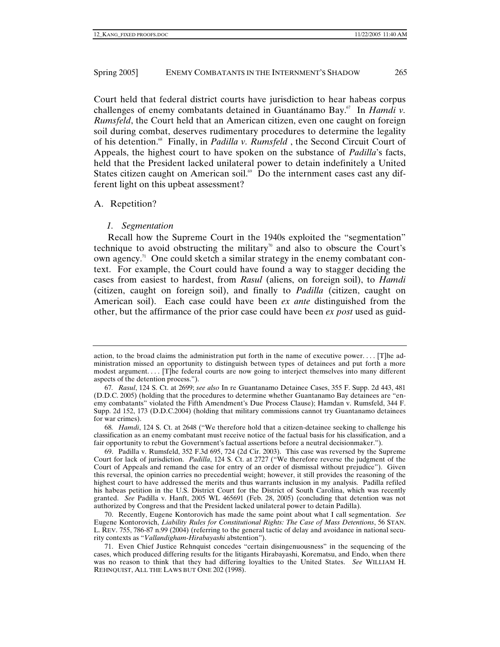Court held that federal district courts have jurisdiction to hear habeas corpus challenges of enemy combatants detained in Guantánamo Bay.67 In *Hamdi v. Rumsfeld*, the Court held that an American citizen, even one caught on foreign soil during combat, deserves rudimentary procedures to determine the legality of his detention.68 Finally, in *Padilla v. Rumsfeld* , the Second Circuit Court of Appeals, the highest court to have spoken on the substance of *Padilla*'s facts, held that the President lacked unilateral power to detain indefinitely a United States citizen caught on American soil.<sup>69</sup> Do the internment cases cast any different light on this upbeat assessment?

#### A. Repetition?

#### *1. Segmentation*

Recall how the Supreme Court in the 1940s exploited the "segmentation" technique to avoid obstructing the military<sup>70</sup> and also to obscure the Court's own agency.<sup>71</sup> One could sketch a similar strategy in the enemy combatant context. For example, the Court could have found a way to stagger deciding the cases from easiest to hardest, from *Rasul* (aliens, on foreign soil), to *Hamdi* (citizen, caught on foreign soil), and finally to *Padilla* (citizen, caught on American soil). Each case could have been *ex ante* distinguished from the other, but the affirmance of the prior case could have been *ex post* used as guid-

action, to the broad claims the administration put forth in the name of executive power. . . . [T]he administration missed an opportunity to distinguish between types of detainees and put forth a more modest argument. . . . [T]he federal courts are now going to interject themselves into many different aspects of the detention process.").

<sup>67</sup>*. Rasul*, 124 S. Ct. at 2699; *see also* In re Guantanamo Detainee Cases, 355 F. Supp. 2d 443, 481 (D.D.C. 2005) (holding that the procedures to determine whether Guantanamo Bay detainees are "enemy combatants" violated the Fifth Amendment's Due Process Clause); Hamdan v. Rumsfeld, 344 F. Supp. 2d 152, 173 (D.D.C.2004) (holding that military commissions cannot try Guantanamo detainees for war crimes).

<sup>68</sup>*. Hamdi*, 124 S. Ct. at 2648 ("We therefore hold that a citizen-detainee seeking to challenge his classification as an enemy combatant must receive notice of the factual basis for his classification, and a fair opportunity to rebut the Government's factual assertions before a neutral decisionmaker.").

 <sup>69.</sup> Padilla v. Rumsfeld, 352 F.3d 695, 724 (2d Cir. 2003). This case was reversed by the Supreme Court for lack of jurisdiction. *Padilla*, 124 S. Ct. at 2727 ("We therefore reverse the judgment of the Court of Appeals and remand the case for entry of an order of dismissal without prejudice"). Given this reversal, the opinion carries no precedential weight; however, it still provides the reasoning of the highest court to have addressed the merits and thus warrants inclusion in my analysis. Padilla refiled his habeas petition in the U.S. District Court for the District of South Carolina, which was recently granted. *See* Padilla v. Hanft, 2005 WL 465691 (Feb. 28, 2005) (concluding that detention was not authorized by Congress and that the President lacked unilateral power to detain Padilla).

 <sup>70.</sup> Recently, Eugene Kontorovich has made the same point about what I call segmentation. *See* Eugene Kontorovich, *Liability Rules for Constitutional Rights: The Case of Mass Detentions*, 56 STAN. L. REV. 755, 786-87 n.99 (2004) (referring to the general tactic of delay and avoidance in national security contexts as "*Vallandigham-Hirabayashi* abstention").

 <sup>71.</sup> Even Chief Justice Rehnquist concedes "certain disingenuousness" in the sequencing of the cases, which produced differing results for the litigants Hirabayashi, Korematsu, and Endo, when there was no reason to think that they had differing loyalties to the United States. *See* WILLIAM H. REHNQUIST, ALL THE LAWS BUT ONE 202 (1998).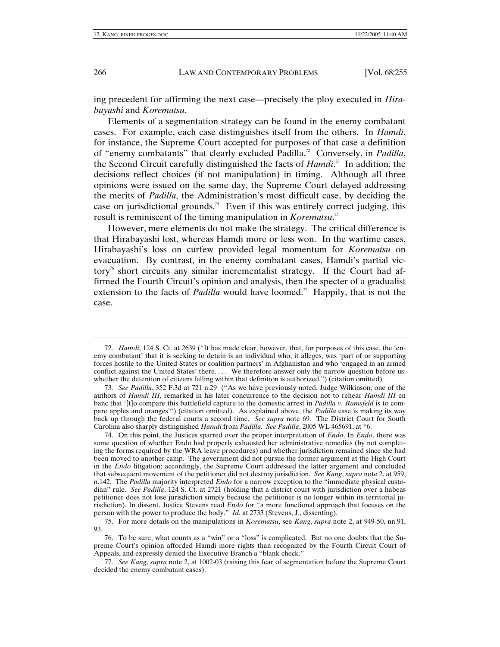ing precedent for affirming the next case—precisely the ploy executed in *Hirabayashi* and *Korematsu*.

Elements of a segmentation strategy can be found in the enemy combatant cases. For example, each case distinguishes itself from the others. In *Hamdi*, for instance, the Supreme Court accepted for purposes of that case a definition of "enemy combatants" that clearly excluded Padilla.72 Conversely, in *Padilla*, the Second Circuit carefully distinguished the facts of *Hamdi*. 73 In addition, the decisions reflect choices (if not manipulation) in timing. Although all three opinions were issued on the same day, the Supreme Court delayed addressing the merits of *Padilla*, the Administration's most difficult case, by deciding the case on jurisdictional grounds.<sup>74</sup> Even if this was entirely correct judging, this result is reminiscent of the timing manipulation in *Korematsu*. 75

However, mere elements do not make the strategy. The critical difference is that Hirabayashi lost, whereas Hamdi more or less won. In the wartime cases, Hirabayashi's loss on curfew provided legal momentum for *Korematsu* on evacuation. By contrast, in the enemy combatant cases, Hamdi's partial victory<sup>76</sup> short circuits any similar incrementalist strategy. If the Court had affirmed the Fourth Circuit's opinion and analysis, then the specter of a gradualist extension to the facts of *Padilla* would have loomed.<sup>77</sup> Happily, that is not the case.

<sup>72</sup>*. Hamdi*, 124 S. Ct. at 2639 ("It has made clear, however, that, for purposes of this case, the 'enemy combatant' that it is seeking to detain is an individual who, it alleges, was 'part of or supporting forces hostile to the United States or coalition partners' in Afghanistan and who 'engaged in an armed conflict against the United States' there. . . . We therefore answer only the narrow question before us: whether the detention of citizens falling within that definition is authorized.") (citation omitted).

<sup>73</sup>*. See Padilla*, 352 F.3d at 721 n.29 ("As we have previously noted, Judge Wilkinson, one of the authors of *Hamdi III*, remarked in his later concurrence to the decision not to rehear *Hamdi III* en banc that '[t]o compare this battlefield capture to the domestic arrest in *Padilla v. Rumsfeld* is to compare apples and oranges'") (citation omitted). As explained above, the *Padilla* case is making its way back up through the federal courts a second time. *See supra* note 69. The District Court for South Carolina also sharply distinguished *Hamdi* from *Padilla*. *See Padilla*, 2005 WL 465691, at \*6.

 <sup>74.</sup> On this point, the Justices sparred over the proper interpretation of *Endo*. In *Endo*, there was some question of whether Endo had properly exhausted her administrative remedies (by not completing the forms required by the WRA leave procedures) and whether jurisdiction remained since she had been moved to another camp. The government did not pursue the former argument at the High Court in the *Endo* litigation; accordingly, the Supreme Court addressed the latter argument and concluded that subsequent movement of the petitioner did not destroy jurisdiction. *See Kang*, *supra* note 2, at 959, n.142. The *Padilla* majority interpreted *Endo* for a narrow exception to the "immediate physical custodian" rule. *See Padilla*, 124 S. Ct. at 2721 (holding that a district court with jurisdiction over a habeas petitioner does not lose jurisdiction simply because the petitioner is no longer within its territorial jurisdiction). In dissent, Justice Stevens read *Endo* for "a more functional approach that focuses on the person with the power to produce the body." *Id.* at 2733 (Stevens, J., dissenting).

 <sup>75.</sup> For more details on the manipulations in *Korematsu*, see *Kang*, *supra* note 2, at 949-50, nn.91, 93.

 <sup>76.</sup> To be sure, what counts as a "win" or a "loss" is complicated. But no one doubts that the Supreme Court's opinion afforded Hamdi more rights than recognized by the Fourth Circuit Court of Appeals, and expressly denied the Executive Branch a "blank check."

<sup>77</sup>*. See Kang*, *supra* note 2, at 1002-03 (raising this fear of segmentation before the Supreme Court decided the enemy combatant cases).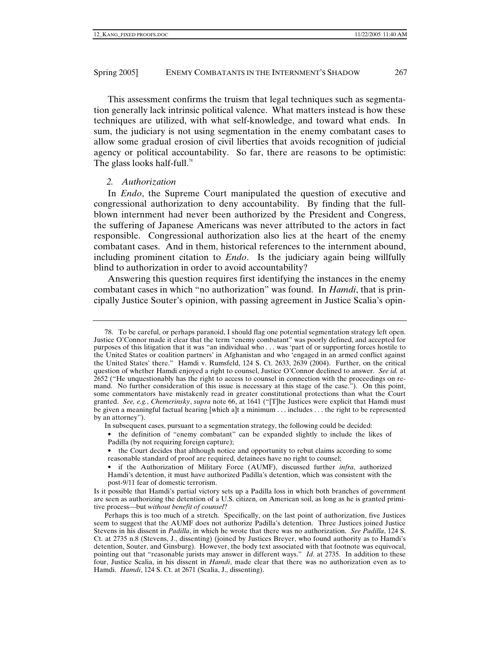This assessment confirms the truism that legal techniques such as segmentation generally lack intrinsic political valence. What matters instead is how these techniques are utilized, with what self-knowledge, and toward what ends. In sum, the judiciary is not using segmentation in the enemy combatant cases to allow some gradual erosion of civil liberties that avoids recognition of judicial agency or political accountability. So far, there are reasons to be optimistic: The glass looks half-full.<sup>78</sup>

## *2. Authorization*

In *Endo*, the Supreme Court manipulated the question of executive and congressional authorization to deny accountability. By finding that the fullblown internment had never been authorized by the President and Congress, the suffering of Japanese Americans was never attributed to the actors in fact responsible. Congressional authorization also lies at the heart of the enemy combatant cases. And in them, historical references to the internment abound, including prominent citation to *Endo*. Is the judiciary again being willfully blind to authorization in order to avoid accountability?

Answering this question requires first identifying the instances in the enemy combatant cases in which "no authorization" was found. In *Hamdi*, that is principally Justice Souter's opinion, with passing agreement in Justice Scalia's opin-

In subsequent cases, pursuant to a segmentation strategy, the following could be decided:

- the definition of "enemy combatant" can be expanded slightly to include the likes of Padilla (by not requiring foreign capture);
- the Court decides that although notice and opportunity to rebut claims according to some reasonable standard of proof are required, detainees have no right to counsel;

 <sup>78.</sup> To be careful, or perhaps paranoid, I should flag one potential segmentation strategy left open. Justice O'Connor made it clear that the term "enemy combatant" was poorly defined, and accepted for purposes of this litigation that it was "an individual who . . . was 'part of or supporting forces hostile to the United States or coalition partners' in Afghanistan and who 'engaged in an armed conflict against the United States' there." Hamdi v. Rumsfeld, 124 S. Ct. 2633, 2639 (2004). Further, on the critical question of whether Hamdi enjoyed a right to counsel, Justice O'Connor declined to answer. *See id.* at 2652 ("He unquestionably has the right to access to counsel in connection with the proceedings on remand. No further consideration of this issue is necessary at this stage of the case."). On this point, some commentators have mistakenly read in greater constitutional protections than what the Court granted. *See, e.g.*, *Chemerinsky*, *supra* note 66, at 1641 ("[T]he Justices were explicit that Hamdi must be given a meaningful factual hearing [which a]t a minimum . . . includes . . . the right to be represented by an attorney").

<sup>•</sup> if the Authorization of Military Force (AUMF), discussed further *infra*, authorized Hamdi's detention, it must have authorized Padilla's detention, which was consistent with the post-9/11 fear of domestic terrorism.

Is it possible that Hamdi's partial victory sets up a Padilla loss in which both branches of government are seen as authorizing the detention of a U.S. citizen, on American soil, as long as he is granted primitive process—but *without benefit of counsel*?

Perhaps this is too much of a stretch. Specifically, on the last point of authorization, five Justices seem to suggest that the AUMF does not authorize Padilla's detention. Three Justices joined Justice Stevens in his dissent in *Padilla*, in which he wrote that there was no authorization. *See Padilla*, 124 S. Ct. at 2735 n.8 (Stevens, J., dissenting) (joined by Justices Breyer, who found authority as to Hamdi's detention, Souter, and Ginsburg). However, the body text associated with that footnote was equivocal, pointing out that "reasonable jurists may answer in different ways." *Id*. at 2735. In addition to these four, Justice Scalia, in his dissent in *Hamdi*, made clear that there was no authorization even as to Hamdi. *Hamdi*, 124 S. Ct. at 2671 (Scalia, J., dissenting).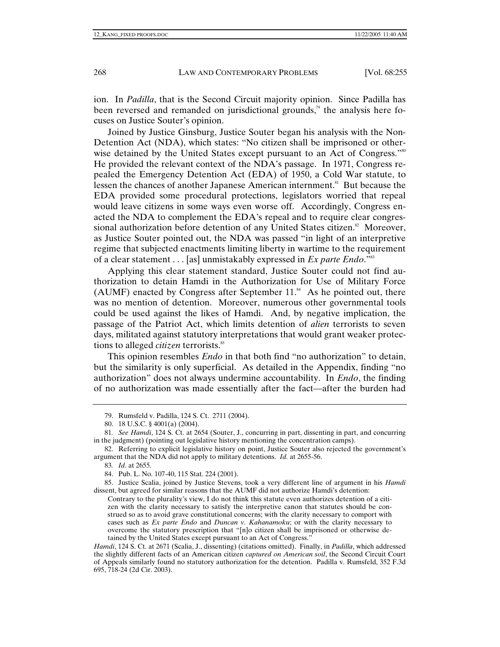ion. In *Padilla*, that is the Second Circuit majority opinion. Since Padilla has been reversed and remanded on jurisdictional grounds,<sup> $\alpha$ </sup> the analysis here focuses on Justice Souter's opinion.

Joined by Justice Ginsburg, Justice Souter began his analysis with the Non-Detention Act (NDA), which states: "No citizen shall be imprisoned or otherwise detained by the United States except pursuant to an Act of Congress."<sup>80</sup> He provided the relevant context of the NDA's passage. In 1971, Congress repealed the Emergency Detention Act (EDA) of 1950, a Cold War statute, to lessen the chances of another Japanese American internment.<sup>81</sup> But because the EDA provided some procedural protections, legislators worried that repeal would leave citizens in some ways even worse off. Accordingly, Congress enacted the NDA to complement the EDA's repeal and to require clear congressional authorization before detention of any United States citizen.<sup>82</sup> Moreover, as Justice Souter pointed out, the NDA was passed "in light of an interpretive regime that subjected enactments limiting liberty in wartime to the requirement of a clear statement . . . [as] unmistakably expressed in *Ex parte Endo*."83

Applying this clear statement standard, Justice Souter could not find authorization to detain Hamdi in the Authorization for Use of Military Force (AUMF) enacted by Congress after September  $11.^{84}$  As he pointed out, there was no mention of detention. Moreover, numerous other governmental tools could be used against the likes of Hamdi. And, by negative implication, the passage of the Patriot Act, which limits detention of *alien* terrorists to seven days, militated against statutory interpretations that would grant weaker protections to alleged *citizen* terrorists.<sup>85</sup>

This opinion resembles *Endo* in that both find "no authorization" to detain, but the similarity is only superficial. As detailed in the Appendix, finding "no authorization" does not always undermine accountability. In *Endo*, the finding of no authorization was made essentially after the fact—after the burden had

83*. Id*. at 2655.

 85. Justice Scalia, joined by Justice Stevens, took a very different line of argument in his *Hamdi* dissent, but agreed for similar reasons that the AUMF did not authorize Hamdi's detention:

 <sup>79.</sup> Rumsfeld v. Padilla, 124 S. Ct. 2711 (2004).

 <sup>80. 18</sup> U.S.C. § 4001(a) (2004).

<sup>81</sup>*. See Hamdi*, 124 S. Ct. at 2654 (Souter, J., concurring in part, dissenting in part, and concurring in the judgment) (pointing out legislative history mentioning the concentration camps).

 <sup>82.</sup> Referring to explicit legislative history on point, Justice Souter also rejected the government's argument that the NDA did not apply to military detentions. *Id.* at 2655-56.

 <sup>84.</sup> Pub. L. No. 107-40, 115 Stat. 224 (2001).

Contrary to the plurality's view, I do not think this statute even authorizes detention of a citizen with the clarity necessary to satisfy the interpretive canon that statutes should be construed so as to avoid grave constitutional concerns; with the clarity necessary to comport with cases such as *Ex parte Endo* and *Duncan v. Kahanamoku*; or with the clarity necessary to overcome the statutory prescription that "[n]o citizen shall be imprisoned or otherwise detained by the United States except pursuant to an Act of Congress."

*Hamdi*, 124 S. Ct. at 2671 (Scalia, J., dissenting) (citations omitted). Finally, in *Padilla*, which addressed the slightly different facts of an American citizen *captured on American soil*, the Second Circuit Court of Appeals similarly found no statutory authorization for the detention. Padilla v. Rumsfeld, 352 F.3d 695, 718-24 (2d Cir. 2003).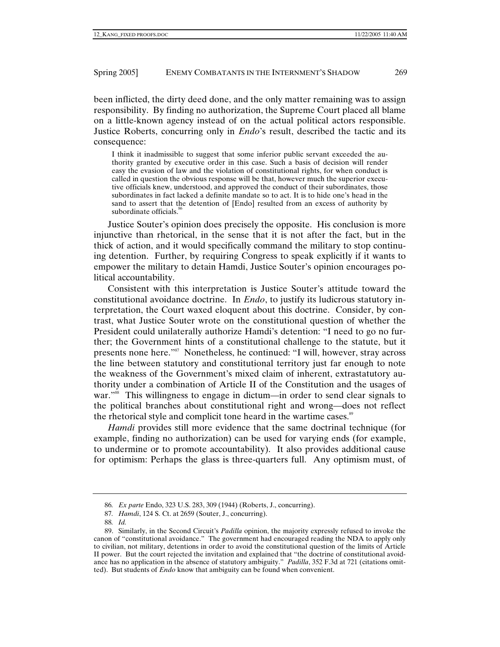been inflicted, the dirty deed done, and the only matter remaining was to assign responsibility. By finding no authorization, the Supreme Court placed all blame on a little-known agency instead of on the actual political actors responsible. Justice Roberts, concurring only in *Endo*'s result, described the tactic and its consequence:

I think it inadmissible to suggest that some inferior public servant exceeded the authority granted by executive order in this case. Such a basis of decision will render easy the evasion of law and the violation of constitutional rights, for when conduct is called in question the obvious response will be that, however much the superior executive officials knew, understood, and approved the conduct of their subordinates, those subordinates in fact lacked a definite mandate so to act. It is to hide one's head in the sand to assert that the detention of [Endo] resulted from an excess of authority by subordinate officials.<sup>8</sup>

Justice Souter's opinion does precisely the opposite. His conclusion is more injunctive than rhetorical, in the sense that it is not after the fact, but in the thick of action, and it would specifically command the military to stop continuing detention. Further, by requiring Congress to speak explicitly if it wants to empower the military to detain Hamdi, Justice Souter's opinion encourages political accountability.

Consistent with this interpretation is Justice Souter's attitude toward the constitutional avoidance doctrine. In *Endo*, to justify its ludicrous statutory interpretation, the Court waxed eloquent about this doctrine. Consider, by contrast, what Justice Souter wrote on the constitutional question of whether the President could unilaterally authorize Hamdi's detention: "I need to go no further; the Government hints of a constitutional challenge to the statute, but it presents none here."87 Nonetheless, he continued: "I will, however, stray across the line between statutory and constitutional territory just far enough to note the weakness of the Government's mixed claim of inherent, extrastatutory authority under a combination of Article II of the Constitution and the usages of war."<sup>88</sup> This willingness to engage in dictum—in order to send clear signals to the political branches about constitutional right and wrong—does not reflect the rhetorical style and complicit tone heard in the wartime cases.<sup>89</sup>

*Hamdi* provides still more evidence that the same doctrinal technique (for example, finding no authorization) can be used for varying ends (for example, to undermine or to promote accountability). It also provides additional cause for optimism: Perhaps the glass is three-quarters full. Any optimism must, of

<sup>86</sup>*. Ex parte* Endo, 323 U.S. 283, 309 (1944) (Roberts, J., concurring).

<sup>87</sup>*. Hamdi*, 124 S. Ct. at 2659 (Souter, J., concurring).

<sup>88</sup>*. Id.*

 <sup>89.</sup> Similarly, in the Second Circuit's *Padilla* opinion, the majority expressly refused to invoke the canon of "constitutional avoidance." The government had encouraged reading the NDA to apply only to civilian, not military, detentions in order to avoid the constitutional question of the limits of Article II power. But the court rejected the invitation and explained that "the doctrine of constitutional avoidance has no application in the absence of statutory ambiguity." *Padilla*, 352 F.3d at 721 (citations omitted). But students of *Endo* know that ambiguity can be found when convenient.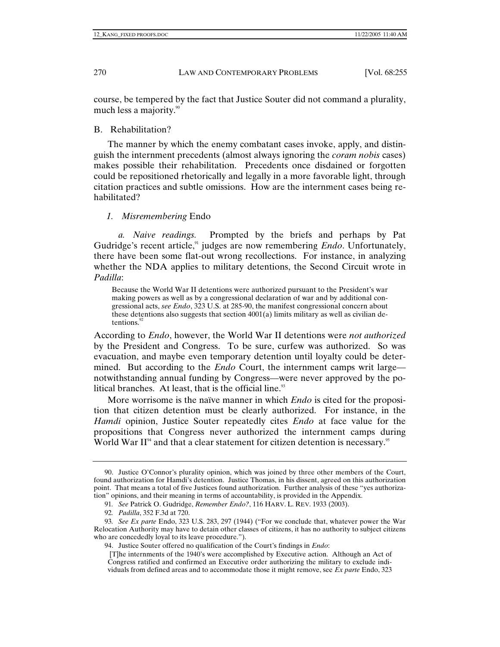course, be tempered by the fact that Justice Souter did not command a plurality, much less a majority.<sup>90</sup>

B. Rehabilitation?

The manner by which the enemy combatant cases invoke, apply, and distinguish the internment precedents (almost always ignoring the *coram nobis* cases) makes possible their rehabilitation. Precedents once disdained or forgotten could be repositioned rhetorically and legally in a more favorable light, through citation practices and subtle omissions. How are the internment cases being rehabilitated?

## *1. Misremembering* Endo

*a. Naive readings.* Prompted by the briefs and perhaps by Pat Gudridge's recent article,<sup>91</sup> judges are now remembering *Endo*. Unfortunately, there have been some flat-out wrong recollections. For instance, in analyzing whether the NDA applies to military detentions, the Second Circuit wrote in *Padilla*:

Because the World War II detentions were authorized pursuant to the President's war making powers as well as by a congressional declaration of war and by additional congressional acts, *see Endo*, 323 U.S. at 285-90, the manifest congressional concern about these detentions also suggests that section  $4001(a)$  limits military as well as civilian detentions.

According to *Endo*, however, the World War II detentions were *not authorized* by the President and Congress. To be sure, curfew was authorized. So was evacuation, and maybe even temporary detention until loyalty could be determined. But according to the *Endo* Court, the internment camps writ large notwithstanding annual funding by Congress—were never approved by the political branches. At least, that is the official line. $93$ 

More worrisome is the naïve manner in which *Endo* is cited for the proposition that citizen detention must be clearly authorized. For instance, in the *Hamdi* opinion, Justice Souter repeatedly cites *Endo* at face value for the propositions that Congress never authorized the internment camps during World War  $II^{94}$  and that a clear statement for citizen detention is necessary.<sup>95</sup>

 <sup>90.</sup> Justice O'Connor's plurality opinion, which was joined by three other members of the Court, found authorization for Hamdi's detention. Justice Thomas, in his dissent, agreed on this authorization point. That means a total of five Justices found authorization. Further analysis of these "yes authorization" opinions, and their meaning in terms of accountability, is provided in the Appendix.

<sup>91</sup>*. See* Patrick O. Gudridge, *Remember Endo?*, 116 HARV. L. REV. 1933 (2003).

<sup>92</sup>*. Padilla*, 352 F.3d at 720.

<sup>93</sup>*. See Ex parte* Endo, 323 U.S. 283, 297 (1944) ("For we conclude that, whatever power the War Relocation Authority may have to detain other classes of citizens, it has no authority to subject citizens who are concededly loyal to its leave procedure.").

 <sup>94.</sup> Justice Souter offered no qualification of the Court's findings in *Endo*:

 <sup>[</sup>T]he internments of the 1940's were accomplished by Executive action. Although an Act of Congress ratified and confirmed an Executive order authorizing the military to exclude individuals from defined areas and to accommodate those it might remove, see *Ex parte* Endo, 323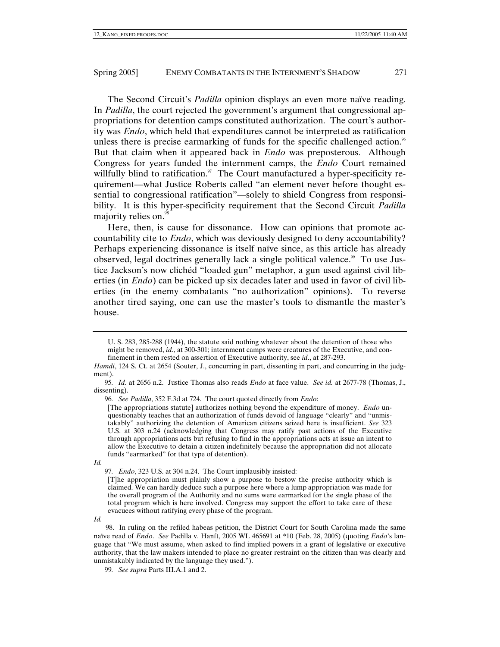The Second Circuit's *Padilla* opinion displays an even more naïve reading. In *Padilla*, the court rejected the government's argument that congressional appropriations for detention camps constituted authorization. The court's authority was *Endo*, which held that expenditures cannot be interpreted as ratification unless there is precise earmarking of funds for the specific challenged action.<sup> $\%$ </sup> But that claim when it appeared back in *Endo* was preposterous. Although Congress for years funded the internment camps, the *Endo* Court remained willfully blind to ratification. $97$  The Court manufactured a hyper-specificity requirement—what Justice Roberts called "an element never before thought essential to congressional ratification"—solely to shield Congress from responsibility. It is this hyper-specificity requirement that the Second Circuit *Padilla* majority relies on.<sup>98</sup>

Here, then, is cause for dissonance. How can opinions that promote accountability cite to *Endo*, which was deviously designed to deny accountability? Perhaps experiencing dissonance is itself naïve since, as this article has already observed, legal doctrines generally lack a single political valence.<sup>99</sup> To use Justice Jackson's now clichéd "loaded gun" metaphor, a gun used against civil liberties (in *Endo*) can be picked up six decades later and used in favor of civil liberties (in the enemy combatants "no authorization" opinions). To reverse another tired saying, one can use the master's tools to dismantle the master's house.

*Id.*

97*. Endo*, 323 U.S. at 304 n.24. The Court implausibly insisted:

*Id.*

98. In ruling on the refiled habeas petition, the District Court for South Carolina made the same naïve read of *Endo*. *See* Padilla v. Hanft, 2005 WL 465691 at \*10 (Feb. 28, 2005) (quoting *Endo*'s language that "We must assume, when asked to find implied powers in a grant of legislative or executive authority, that the law makers intended to place no greater restraint on the citizen than was clearly and unmistakably indicated by the language they used.").

99*. See supra* Parts III.A.1 and 2.

U. S. 283, 285-288 (1944), the statute said nothing whatever about the detention of those who might be removed, *id*., at 300-301; internment camps were creatures of the Executive, and confinement in them rested on assertion of Executive authority, see *id*., at 287-293.

*Hamdi*, 124 S. Ct. at 2654 (Souter, J., concurring in part, dissenting in part, and concurring in the judgment).

<sup>95</sup>*. Id.* at 2656 n.2. Justice Thomas also reads *Endo* at face value. *See id.* at 2677-78 (Thomas, J., dissenting).

<sup>96</sup>*. See Padilla*, 352 F.3d at 724. The court quoted directly from *Endo*:

<sup>[</sup>The appropriations statute] authorizes nothing beyond the expenditure of money. *Endo* unquestionably teaches that an authorization of funds devoid of language "clearly" and "unmistakably" authorizing the detention of American citizens seized here is insufficient. *See* 323 U.S. at 303 n.24 (acknowledging that Congress may ratify past actions of the Executive through appropriations acts but refusing to find in the appropriations acts at issue an intent to allow the Executive to detain a citizen indefinitely because the appropriation did not allocate funds "earmarked" for that type of detention).

<sup>[</sup>T]he appropriation must plainly show a purpose to bestow the precise authority which is claimed. We can hardly deduce such a purpose here where a lump appropriation was made for the overall program of the Authority and no sums were earmarked for the single phase of the total program which is here involved. Congress may support the effort to take care of these evacuees without ratifying every phase of the program.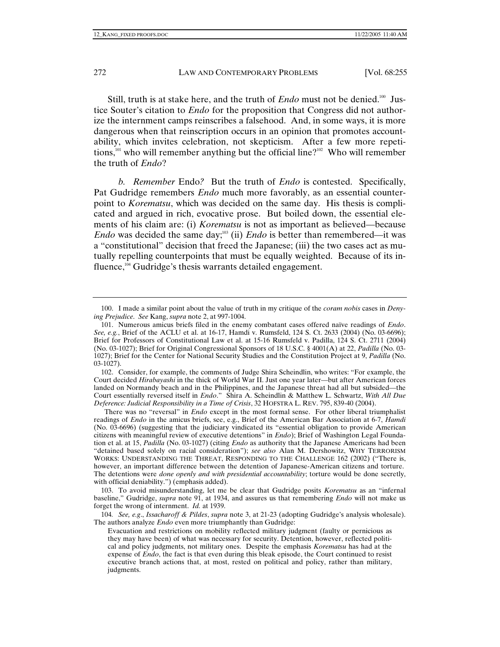Still, truth is at stake here, and the truth of *Endo* must not be denied.<sup>100</sup> Justice Souter's citation to *Endo* for the proposition that Congress did not authorize the internment camps reinscribes a falsehood. And, in some ways, it is more dangerous when that reinscription occurs in an opinion that promotes accountability, which invites celebration, not skepticism. After a few more repetitions,<sup>101</sup> who will remember anything but the official line?<sup>102</sup> Who will remember the truth of *Endo*?

*b. Remember* Endo*?* But the truth of *Endo* is contested. Specifically, Pat Gudridge remembers *Endo* much more favorably, as an essential counterpoint to *Korematsu*, which was decided on the same day. His thesis is complicated and argued in rich, evocative prose. But boiled down, the essential elements of his claim are: (i) *Korematsu* is not as important as believed—because *Endo* was decided the same day;<sup>103</sup> (ii) *Endo* is better than remembered—it was a "constitutional" decision that freed the Japanese; (iii) the two cases act as mutually repelling counterpoints that must be equally weighted. Because of its influence, $104$  Gudridge's thesis warrants detailed engagement.

 102. Consider, for example, the comments of Judge Shira Scheindlin, who writes: "For example, the Court decided *Hirabayashi* in the thick of World War II. Just one year later—but after American forces landed on Normandy beach and in the Philippines, and the Japanese threat had all but subsided—the Court essentially reversed itself in *Endo*." Shira A. Scheindlin & Matthew L. Schwartz, *With All Due Deference: Judicial Responsibility in a Time of Crisis*, 32 HOFSTRA L. REV. 795, 839-40 (2004).

There was no "reversal" in *Endo* except in the most formal sense. For other liberal triumphalist readings of *Endo* in the amicus briefs, see, e.g., Brief of the American Bar Association at 6-7, *Hamdi* (No. 03-6696) (suggesting that the judiciary vindicated its "essential obligation to provide American citizens with meaningful review of executive detentions" in *Endo*); Brief of Washington Legal Foundation et al. at 15, *Padilla* (No. 03-1027) (citing *Endo* as authority that the Japanese Americans had been "detained based solely on racial consideration"); *see also* Alan M. Dershowitz, WHY TERRORISM WORKS: UNDERSTANDING THE THREAT, RESPONDING TO THE CHALLENGE 162 (2002) ("There is, however, an important difference between the detention of Japanese-American citizens and torture. The detentions were *done openly and with presidential accountability*; torture would be done secretly, with official deniability.") (emphasis added).

 103. To avoid misunderstanding, let me be clear that Gudridge posits *Korematsu* as an "infernal baseline," Gudridge, *supra* note 91, at 1934, and assures us that remembering *Endo* will not make us forget the wrong of internment. *Id.* at 1939.

104*. See, e.g*., *Issacharoff & Pildes*, *supra* note 3, at 21-23 (adopting Gudridge's analysis wholesale). The authors analyze *Endo* even more triumphantly than Gudridge:

 <sup>100.</sup> I made a similar point about the value of truth in my critique of the *coram nobis* cases in *Denying Prejudice*. *See* Kang, *supra* note 2, at 997-1004.

 <sup>101.</sup> Numerous amicus briefs filed in the enemy combatant cases offered naïve readings of *Endo*. *See, e.g.*, Brief of the ACLU et al. at 16-17, Hamdi v. Rumsfeld, 124 S. Ct. 2633 (2004) (No. 03-6696); Brief for Professors of Constitutional Law et al. at 15-16 Rumsfeld v. Padilla, 124 S. Ct. 2711 (2004) (No. 03-1027); Brief for Original Congressional Sponsors of 18 U.S.C. § 4001(A) at 22, *Padilla* (No. 03- 1027); Brief for the Center for National Security Studies and the Constitution Project at 9, *Padilla* (No. 03-1027).

Evacuation and restrictions on mobility reflected military judgment (faulty or pernicious as they may have been) of what was necessary for security. Detention, however, reflected political and policy judgments, not military ones. Despite the emphasis *Korematsu* has had at the expense of *Endo*, the fact is that even during this bleak episode, the Court continued to resist executive branch actions that, at most, rested on political and policy, rather than military, judgments.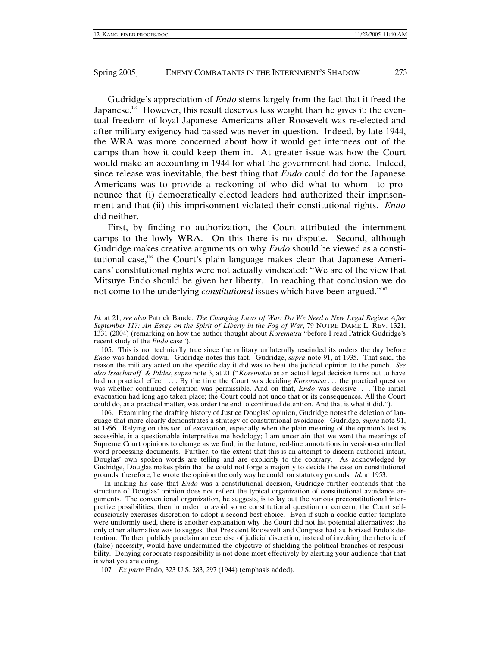Gudridge's appreciation of *Endo* stems largely from the fact that it freed the Japanese.<sup>105</sup> However, this result deserves less weight than he gives it: the eventual freedom of loyal Japanese Americans after Roosevelt was re-elected and after military exigency had passed was never in question. Indeed, by late 1944, the WRA was more concerned about how it would get internees out of the camps than how it could keep them in. At greater issue was how the Court would make an accounting in 1944 for what the government had done. Indeed, since release was inevitable, the best thing that *Endo* could do for the Japanese Americans was to provide a reckoning of who did what to whom—to pronounce that (i) democratically elected leaders had authorized their imprisonment and that (ii) this imprisonment violated their constitutional rights. *Endo* did neither.

First, by finding no authorization, the Court attributed the internment camps to the lowly WRA. On this there is no dispute. Second, although Gudridge makes creative arguments on why *Endo* should be viewed as a constitutional case,<sup>106</sup> the Court's plain language makes clear that Japanese Americans' constitutional rights were not actually vindicated: "We are of the view that Mitsuye Endo should be given her liberty. In reaching that conclusion we do not come to the underlying *constitutional* issues which have been argued."<sup>107</sup>

 105. This is not technically true since the military unilaterally rescinded its orders the day before *Endo* was handed down. Gudridge notes this fact. Gudridge, *supra* note 91, at 1935. That said, the reason the military acted on the specific day it did was to beat the judicial opinion to the punch. *See also Issacharoff & Pildes*, *supra* note 3, at 21 ("*Korematsu* as an actual legal decision turns out to have had no practical effect . . . . By the time the Court was deciding *Korematsu* . . . the practical question was whether continued detention was permissible. And on that, *Endo* was decisive .... The initial evacuation had long ago taken place; the Court could not undo that or its consequences. All the Court could do, as a practical matter, was order the end to continued detention. And that is what it did.").

 106. Examining the drafting history of Justice Douglas' opinion, Gudridge notes the deletion of language that more clearly demonstrates a strategy of constitutional avoidance. Gudridge, *supra* note 91, at 1956. Relying on this sort of excavation, especially when the plain meaning of the opinion's text is accessible, is a questionable interpretive methodology; I am uncertain that we want the meanings of Supreme Court opinions to change as we find, in the future, red-line annotations in version-controlled word processing documents. Further, to the extent that this is an attempt to discern authorial intent, Douglas' own spoken words are telling and are explicitly to the contrary. As acknowledged by Gudridge, Douglas makes plain that he could not forge a majority to decide the case on constitutional grounds; therefore, he wrote the opinion the only way he could, on statutory grounds. *Id.* at 1953.

In making his case that *Endo* was a constitutional decision, Gudridge further contends that the structure of Douglas' opinion does not reflect the typical organization of constitutional avoidance arguments. The conventional organization, he suggests, is to lay out the various preconstitutional interpretive possibilities, then in order to avoid some constitutional question or concern, the Court selfconsciously exercises discretion to adopt a second-best choice. Even if such a cookie-cutter template were uniformly used, there is another explanation why the Court did not list potential alternatives: the only other alternative was to suggest that President Roosevelt and Congress had authorized Endo's detention. To then publicly proclaim an exercise of judicial discretion, instead of invoking the rhetoric of (false) necessity, would have undermined the objective of shielding the political branches of responsibility. Denying corporate responsibility is not done most effectively by alerting your audience that that is what you are doing.

107*. Ex parte* Endo, 323 U.S. 283, 297 (1944) (emphasis added).

*Id.* at 21; *see also* Patrick Baude, *The Changing Laws of War: Do We Need a New Legal Regime After September 11?: An Essay on the Spirit of Liberty in the Fog of War*, 79 NOTRE DAME L. REV. 1321, 1331 (2004) (remarking on how the author thought about *Korematsu* "before I read Patrick Gudridge's recent study of the *Endo* case").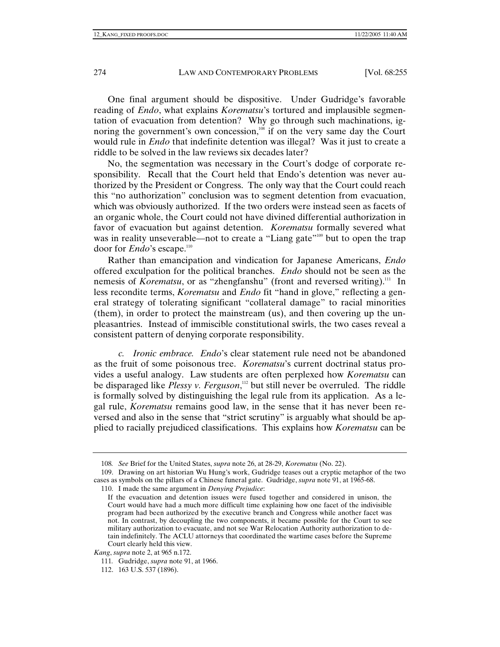One final argument should be dispositive. Under Gudridge's favorable reading of *Endo*, what explains *Korematsu*'s tortured and implausible segmentation of evacuation from detention? Why go through such machinations, ignoring the government's own concession, $108$  if on the very same day the Court would rule in *Endo* that indefinite detention was illegal? Was it just to create a riddle to be solved in the law reviews six decades later?

No, the segmentation was necessary in the Court's dodge of corporate responsibility. Recall that the Court held that Endo's detention was never authorized by the President or Congress. The only way that the Court could reach this "no authorization" conclusion was to segment detention from evacuation, which was obviously authorized. If the two orders were instead seen as facets of an organic whole, the Court could not have divined differential authorization in favor of evacuation but against detention. *Korematsu* formally severed what was in reality unseverable—not to create a "Liang gate"<sup>109</sup> but to open the trap door for *Endo*'s escape.<sup>110</sup>

Rather than emancipation and vindication for Japanese Americans, *Endo*  offered exculpation for the political branches. *Endo* should not be seen as the nemesis of *Korematsu*, or as "zhengfanshu" (front and reversed writing).<sup>111</sup> In less recondite terms, *Korematsu* and *Endo* fit "hand in glove," reflecting a general strategy of tolerating significant "collateral damage" to racial minorities (them), in order to protect the mainstream (us), and then covering up the unpleasantries. Instead of immiscible constitutional swirls, the two cases reveal a consistent pattern of denying corporate responsibility.

*c. Ironic embrace. Endo*'s clear statement rule need not be abandoned as the fruit of some poisonous tree. *Korematsu*'s current doctrinal status provides a useful analogy. Law students are often perplexed how *Korematsu* can be disparaged like *Plessy v. Ferguson*,<sup>112</sup> but still never be overruled. The riddle is formally solved by distinguishing the legal rule from its application. As a legal rule, *Korematsu* remains good law, in the sense that it has never been reversed and also in the sense that "strict scrutiny" is arguably what should be applied to racially prejudiced classifications. This explains how *Korematsu* can be

110. I made the same argument in *Denying Prejudice*:

<sup>108</sup>*. See* Brief for the United States, *supra* note 26, at 28-29, *Korematsu* (No. 22).

 <sup>109.</sup> Drawing on art historian Wu Hung's work, Gudridge teases out a cryptic metaphor of the two cases as symbols on the pillars of a Chinese funeral gate. Gudridge, *supra* note 91, at 1965-68.

If the evacuation and detention issues were fused together and considered in unison, the Court would have had a much more difficult time explaining how one facet of the indivisible program had been authorized by the executive branch and Congress while another facet was not. In contrast, by decoupling the two components, it became possible for the Court to see military authorization to evacuate, and not see War Relocation Authority authorization to detain indefinitely. The ACLU attorneys that coordinated the wartime cases before the Supreme Court clearly held this view.

*Kang*, *supra* note 2, at 965 n.172.

<sup>111</sup>*.* Gudridge, *supra* note 91, at 1966.

 <sup>112. 163</sup> U.S. 537 (1896).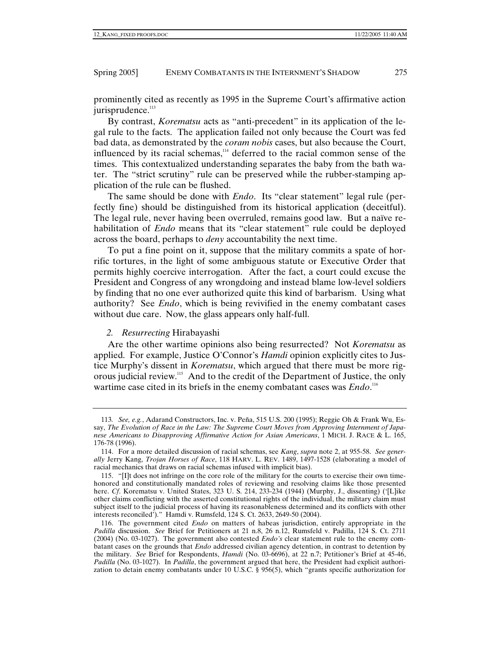prominently cited as recently as 1995 in the Supreme Court's affirmative action jurisprudence.<sup>113</sup>

By contrast, *Korematsu* acts as "anti-precedent" in its application of the legal rule to the facts. The application failed not only because the Court was fed bad data, as demonstrated by the *coram nobis* cases, but also because the Court, influenced by its racial schemas,<sup>114</sup> deferred to the racial common sense of the times. This contextualized understanding separates the baby from the bath water. The "strict scrutiny" rule can be preserved while the rubber-stamping application of the rule can be flushed.

The same should be done with *Endo*. Its "clear statement" legal rule (perfectly fine) should be distinguished from its historical application (deceitful). The legal rule, never having been overruled, remains good law. But a naïve rehabilitation of *Endo* means that its "clear statement" rule could be deployed across the board, perhaps to *deny* accountability the next time.

To put a fine point on it, suppose that the military commits a spate of horrific tortures, in the light of some ambiguous statute or Executive Order that permits highly coercive interrogation. After the fact, a court could excuse the President and Congress of any wrongdoing and instead blame low-level soldiers by finding that no one ever authorized quite this kind of barbarism. Using what authority? See *Endo*, which is being revivified in the enemy combatant cases without due care. Now, the glass appears only half-full.

## *2. Resurrecting* Hirabayashi

Are the other wartime opinions also being resurrected? Not *Korematsu* as applied. For example, Justice O'Connor's *Hamdi* opinion explicitly cites to Justice Murphy's dissent in *Korematsu*, which argued that there must be more rigorous judicial review.115 And to the credit of the Department of Justice, the only wartime case cited in its briefs in the enemy combatant cases was *Endo*.<sup>116</sup>

<sup>113</sup>*. See, e.g.*, Adarand Constructors, Inc. v. Peña, 515 U.S. 200 (1995); Reggie Oh & Frank Wu, Essay, *The Evolution of Race in the Law: The Supreme Court Moves from Approving Internment of Japanese Americans to Disapproving Affirmative Action for Asian Americans*, 1 MICH. J. RACE & L. 165, 176-78 (1996).

 <sup>114.</sup> For a more detailed discussion of racial schemas, see *Kang*, *supra* note 2, at 955-58. *See generally* Jerry Kang, *Trojan Horses of Race*, 118 HARV. L. REV. 1489, 1497-1528 (elaborating a model of racial mechanics that draws on racial schemas infused with implicit bias).

 <sup>115. &</sup>quot;[I]t does not infringe on the core role of the military for the courts to exercise their own timehonored and constitutionally mandated roles of reviewing and resolving claims like those presented here. *Cf*. Korematsu v. United States, 323 U. S. 214, 233-234 (1944) (Murphy, J., dissenting) ('[L]ike other claims conflicting with the asserted constitutional rights of the individual, the military claim must subject itself to the judicial process of having its reasonableness determined and its conflicts with other interests reconciled')." Hamdi v. Rumsfeld, 124 S. Ct. 2633, 2649-50 (2004).

 <sup>116.</sup> The government cited *Endo* on matters of habeas jurisdiction, entirely appropriate in the *Padilla* discussion. *See* Brief for Petitioners at 21 n.8, 26 n.12, Rumsfeld v. Padilla, 124 S. Ct. 2711 (2004) (No. 03-1027). The government also contested *Endo's* clear statement rule to the enemy combatant cases on the grounds that *Endo* addressed civilian agency detention, in contrast to detention by the military. *See* Brief for Respondents, *Hamdi* (No. 03-6696), at 22 n.7; Petitioner's Brief at 45-46, *Padilla* (No. 03-1027). In *Padilla*, the government argued that here, the President had explicit authorization to detain enemy combatants under 10 U.S.C. § 956(5), which "grants specific authorization for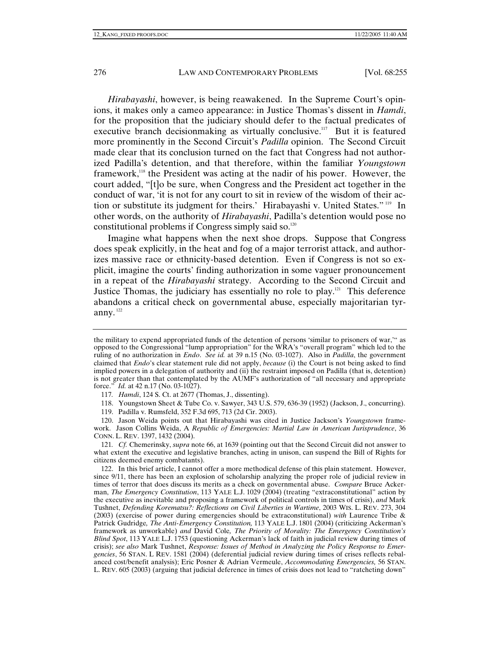*Hirabayashi*, however, is being reawakened. In the Supreme Court's opinions, it makes only a cameo appearance: in Justice Thomas's dissent in *Hamdi*, for the proposition that the judiciary should defer to the factual predicates of executive branch decisionmaking as virtually conclusive.<sup>117</sup> But it is featured more prominently in the Second Circuit's *Padilla* opinion. The Second Circuit made clear that its conclusion turned on the fact that Congress had not authorized Padilla's detention, and that therefore, within the familiar *Youngstown* framework,<sup>118</sup> the President was acting at the nadir of his power. However, the court added, "[t]o be sure, when Congress and the President act together in the conduct of war, 'it is not for any court to sit in review of the wisdom of their action or substitute its judgment for theirs.' Hirabayashi v. United States." 119 In other words, on the authority of *Hirabayashi*, Padilla's detention would pose no constitutional problems if Congress simply said so. $120$ 

Imagine what happens when the next shoe drops. Suppose that Congress does speak explicitly, in the heat and fog of a major terrorist attack, and authorizes massive race or ethnicity-based detention. Even if Congress is not so explicit, imagine the courts' finding authorization in some vaguer pronouncement in a repeat of the *Hirabayashi* strategy. According to the Second Circuit and Justice Thomas, the judiciary has essentially no role to play.<sup>121</sup> This deference abandons a critical check on governmental abuse, especially majoritarian tyranny.<sup>122</sup>

the military to expend appropriated funds of the detention of persons 'similar to prisoners of war,'" as opposed to the Congressional "lump appropriation" for the WRA's "overall program" which led to the ruling of no authorization in *Endo*. *See id.* at 39 n.15 (No. 03-1027). Also in *Padilla*, the government claimed that *Endo*'s clear statement rule did not apply, *because* (i) the Court is not being asked to find implied powers in a delegation of authority and (ii) the restraint imposed on Padilla (that is, detention) is not greater than that contemplated by the AUMF's authorization of "all necessary and appropriate force." *Id.* at  $42$  n.17 (No. 03-1027). *Id.* at 42 n.17 (No. 03-1027).

<sup>117</sup>*. Hamdi*, 124 S. Ct. at 2677 (Thomas, J., dissenting).

 <sup>118.</sup> Youngstown Sheet & Tube Co. v. Sawyer, 343 U.S. 579, 636-39 (1952) (Jackson, J., concurring).

 <sup>119.</sup> Padilla v. Rumsfeld, 352 F.3d 695, 713 (2d Cir. 2003).

 <sup>120.</sup> Jason Weida points out that Hirabayashi was cited in Justice Jackson's *Youngstown* framework. Jason Collins Weida, A *Republic of Emergencies: Martial Law in American Jurisprudence*, 36 CONN. L. REV. 1397, 1432 (2004).

<sup>121</sup>*. Cf.* Chemerinsky, *supra* note 66, at 1639 (pointing out that the Second Circuit did not answer to what extent the executive and legislative branches, acting in unison, can suspend the Bill of Rights for citizens deemed enemy combatants).

 <sup>122.</sup> In this brief article, I cannot offer a more methodical defense of this plain statement. However, since 9/11, there has been an explosion of scholarship analyzing the proper role of judicial review in times of terror that does discuss its merits as a check on governmental abuse. *Compare* Bruce Ackerman, *The Emergency Constitution*, 113 YALE L.J. 1029 (2004) (treating "extraconstitutional" action by the executive as inevitable and proposing a framework of political controls in times of crisis), *and* Mark Tushnet, *Defending Korematsu?: Reflections on Civil Liberties in Wartime*, 2003 WIS. L. REV. 273, 304 (2003) (exercise of power during emergencies should be extraconstitutional) *with* Laurence Tribe & Patrick Gudridge*, The Anti-Emergency Constitution,* 113 YALE L.J. 1801 (2004) (criticizing Ackerman's framework as unworkable) *and* David Cole*, The Priority of Morality: The Emergency Constitution's Blind Spot*, 113 YALE L.J. 1753 (questioning Ackerman's lack of faith in judicial review during times of crisis); *see also* Mark Tushnet, *Response: Issues of Method in Analyzing the Policy Response to Emergencies*, 56 STAN. L REV. 1581 (2004) (deferential judicial review during times of crises reflects rebalanced cost/benefit analysis); Eric Posner & Adrian Vermeule, *Accommodating Emergencies,* 56 STAN. L. REV. 605 (2003) (arguing that judicial deference in times of crisis does not lead to "ratcheting down"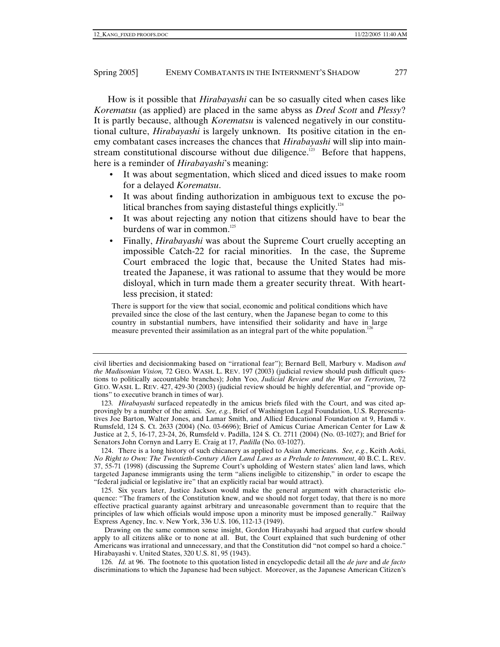How is it possible that *Hirabayashi* can be so casually cited when cases like *Korematsu* (as applied) are placed in the same abyss as *Dred Scott* and *Plessy*? It is partly because, although *Korematsu* is valenced negatively in our constitutional culture, *Hirabayashi* is largely unknown. Its positive citation in the enemy combatant cases increases the chances that *Hirabayashi* will slip into mainstream constitutional discourse without due diligence.<sup>123</sup> Before that happens, here is a reminder of *Hirabayashi*'s meaning:

- It was about segmentation, which sliced and diced issues to make room for a delayed *Korematsu*.
- It was about finding authorization in ambiguous text to excuse the political branches from saying distasteful things explicitly.<sup>124</sup>
- It was about rejecting any notion that citizens should have to bear the burdens of war in common. $125$
- Finally, *Hirabayashi* was about the Supreme Court cruelly accepting an impossible Catch-22 for racial minorities. In the case, the Supreme Court embraced the logic that, because the United States had mistreated the Japanese, it was rational to assume that they would be more disloyal, which in turn made them a greater security threat. With heartless precision, it stated:

There is support for the view that social, economic and political conditions which have prevailed since the close of the last century, when the Japanese began to come to this country in substantial numbers, have intensified their solidarity and have in large measure prevented their assimilation as an integral part of the white population.<sup>1</sup>

 124. There is a long history of such chicanery as applied to Asian Americans. *See, e.g.*, Keith Aoki, *No Right to Own: The Twentieth-Century Alien Land Laws as a Prelude to Internment*, 40 B.C. L. REV. 37, 55-71 (1998) (discussing the Supreme Court's upholding of Western states' alien land laws, which targeted Japanese immigrants using the term "aliens ineligible to citizenship," in order to escape the "federal judicial or legislative ire" that an explicitly racial bar would attract).

 125. Six years later, Justice Jackson would make the general argument with characteristic eloquence: "The framers of the Constitution knew, and we should not forget today, that there is no more effective practical guaranty against arbitrary and unreasonable government than to require that the principles of law which officials would impose upon a minority must be imposed generally." Railway Express Agency, Inc. v. New York, 336 U.S. 106, 112-13 (1949).

Drawing on the same common sense insight, Gordon Hirabayashi had argued that curfew should apply to all citizens alike or to none at all. But, the Court explained that such burdening of other Americans was irrational and unnecessary, and that the Constitution did "not compel so hard a choice." Hirabayashi v. United States, 320 U.S. 81, 95 (1943).

126*. Id.* at 96. The footnote to this quotation listed in encyclopedic detail all the *de jure* and *de facto* discriminations to which the Japanese had been subject. Moreover, as the Japanese American Citizen's

civil liberties and decisionmaking based on "irrational fear"); Bernard Bell, Marbury v. Madison *and the Madisonian Vision,* 72 GEO. WASH. L. REV. 197 (2003) (judicial review should push difficult questions to politically accountable branches); John Yoo, *Judicial Review and the War on Terrorism,* 72 GEO. WASH. L. REV. 427, 429-30 (2003) (judicial review should be highly deferential, and "provide options" to executive branch in times of war).

<sup>123</sup>*. Hirabayashi* surfaced repeatedly in the amicus briefs filed with the Court, and was cited approvingly by a number of the amici. *See, e.g.*, Brief of Washington Legal Foundation, U.S. Representatives Joe Barton, Walter Jones, and Lamar Smith, and Allied Educational Foundation at 9, Hamdi v. Rumsfeld, 124 S. Ct. 2633 (2004) (No. 03-6696); Brief of Amicus Curiae American Center for Law & Justice at 2, 5, 16-17, 23-24, 26, Rumsfeld v. Padilla, 124 S. Ct. 2711 (2004) (No. 03-1027); and Brief for Senators John Cornyn and Larry E. Craig at 17, *Padilla* (No. 03-1027).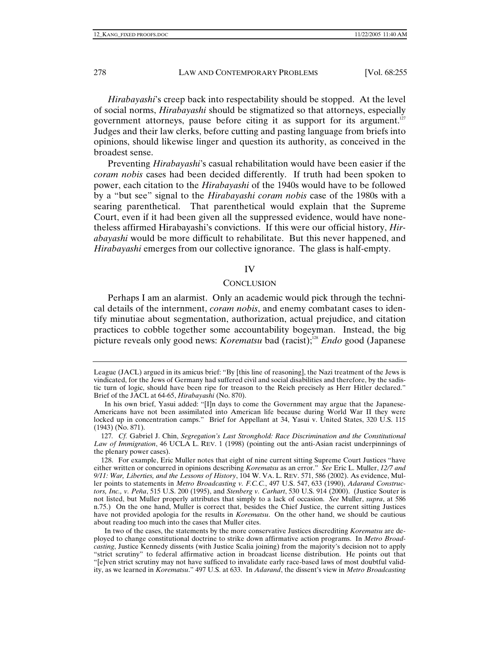*Hirabayashi*'s creep back into respectability should be stopped. At the level of social norms, *Hirabayashi* should be stigmatized so that attorneys, especially government attorneys, pause before citing it as support for its argument.<sup>127</sup> Judges and their law clerks, before cutting and pasting language from briefs into opinions, should likewise linger and question its authority, as conceived in the broadest sense.

Preventing *Hirabayashi*'s casual rehabilitation would have been easier if the *coram nobis* cases had been decided differently. If truth had been spoken to power, each citation to the *Hirabayashi* of the 1940s would have to be followed by a "but see" signal to the *Hirabayashi coram nobis* case of the 1980s with a searing parenthetical. That parenthetical would explain that the Supreme Court, even if it had been given all the suppressed evidence, would have nonetheless affirmed Hirabayashi's convictions. If this were our official history, *Hirabayashi* would be more difficult to rehabilitate. But this never happened, and *Hirabayashi* emerges from our collective ignorance. The glass is half-empty.

## IV

## **CONCLUSION**

Perhaps I am an alarmist. Only an academic would pick through the technical details of the internment, *coram nobis*, and enemy combatant cases to identify minutiae about segmentation, authorization, actual prejudice, and citation practices to cobble together some accountability bogeyman. Instead, the big picture reveals only good news: *Korematsu* bad (racist);<sup>128</sup> *Endo* good (Japanese

League (JACL) argued in its amicus brief: "By [this line of reasoning], the Nazi treatment of the Jews is vindicated, for the Jews of Germany had suffered civil and social disabilities and therefore, by the sadistic turn of logic, should have been ripe for treason to the Reich precisely as Herr Hitler declared." Brief of the JACL at 64-65, *Hirabayashi* (No. 870).

In his own brief, Yasui added: "[I]n days to come the Government may argue that the Japanese-Americans have not been assimilated into American life because during World War II they were locked up in concentration camps." Brief for Appellant at 34, Yasui v. United States, 320 U.S. 115 (1943) (No. 871).

<sup>127</sup>*. Cf.* Gabriel J. Chin, *Segregation's Last Stronghold: Race Discrimination and the Constitutional Law of Immigration*, 46 UCLA L. REV. 1 (1998) (pointing out the anti-Asian racist underpinnings of the plenary power cases).

 <sup>128.</sup> For example, Eric Muller notes that eight of nine current sitting Supreme Court Justices "have either written or concurred in opinions describing *Korematsu* as an error." *See* Eric L. Muller, *12/7 and 9/11: War, Liberties, and the Lessons of History*, 104 W. VA. L. REV. 571, 586 (2002). As evidence, Muller points to statements in *Metro Broadcasting v. F.C.C.*, 497 U.S. 547, 633 (1990), *Adarand Constructors, Inc., v. Peña*, 515 U.S. 200 (1995), and *Stenberg v. Carhart*, 530 U.S. 914 (2000). (Justice Souter is not listed, but Muller properly attributes that simply to a lack of occasion. *See* Muller, *supra*, at 586 n.75.) On the one hand, Muller is correct that, besides the Chief Justice, the current sitting Justices have not provided apologia for the results in *Korematsu*. On the other hand, we should be cautious about reading too much into the cases that Muller cites.

In two of the cases, the statements by the more conservative Justices discrediting *Korematsu* are deployed to change constitutional doctrine to strike down affirmative action programs. In *Metro Broadcasting*, Justice Kennedy dissents (with Justice Scalia joining) from the majority's decision not to apply "strict scrutiny" to federal affirmative action in broadcast license distribution. He points out that "[e]ven strict scrutiny may not have sufficed to invalidate early race-based laws of most doubtful validity, as we learned in *Korematsu*." 497 U.S. at 633. In *Adarand*, the dissent's view in *Metro Broadcasting*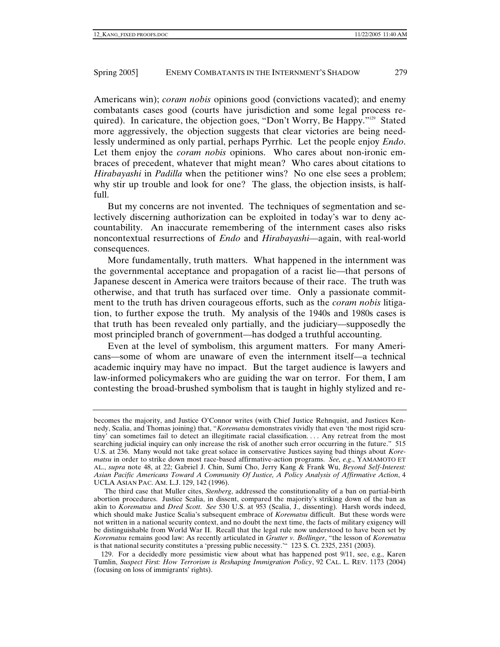Americans win); *coram nobis* opinions good (convictions vacated); and enemy combatants cases good (courts have jurisdiction and some legal process required). In caricature, the objection goes, "Don't Worry, Be Happy."<sup>129</sup> Stated more aggressively, the objection suggests that clear victories are being needlessly undermined as only partial, perhaps Pyrrhic. Let the people enjoy *Endo*. Let them enjoy the *coram nobis* opinions. Who cares about non-ironic embraces of precedent, whatever that might mean? Who cares about citations to *Hirabayashi* in *Padilla* when the petitioner wins? No one else sees a problem; why stir up trouble and look for one? The glass, the objection insists, is halffull.

But my concerns are not invented. The techniques of segmentation and selectively discerning authorization can be exploited in today's war to deny accountability. An inaccurate remembering of the internment cases also risks noncontextual resurrections of *Endo* and *Hirabayashi*—again, with real-world consequences.

More fundamentally, truth matters. What happened in the internment was the governmental acceptance and propagation of a racist lie—that persons of Japanese descent in America were traitors because of their race. The truth was otherwise, and that truth has surfaced over time. Only a passionate commitment to the truth has driven courageous efforts, such as the *coram nobis* litigation, to further expose the truth. My analysis of the 1940s and 1980s cases is that truth has been revealed only partially, and the judiciary—supposedly the most principled branch of government—has dodged a truthful accounting.

Even at the level of symbolism, this argument matters. For many Americans—some of whom are unaware of even the internment itself—a technical academic inquiry may have no impact. But the target audience is lawyers and law-informed policymakers who are guiding the war on terror. For them, I am contesting the broad-brushed symbolism that is taught in highly stylized and re-

becomes the majority, and Justice O'Connor writes (with Chief Justice Rehnquist, and Justices Kennedy, Scalia, and Thomas joining) that, "*Korematsu* demonstrates vividly that even 'the most rigid scrutiny' can sometimes fail to detect an illegitimate racial classification.... Any retreat from the most searching judicial inquiry can only increase the risk of another such error occurring in the future." 515 U.S. at 236. Many would not take great solace in conservative Justices saying bad things about *Korematsu* in order to strike down most race-based affirmative-action programs. *See, e.g*., YAMAMOTO ET AL., *supra* note 48, at 22; Gabriel J. Chin, Sumi Cho, Jerry Kang & Frank Wu, *Beyond Self-Interest: Asian Pacific Americans Toward A Community Of Justice, A Policy Analysis of Affirmative Action*, 4 UCLA ASIAN PAC. AM. L.J. 129, 142 (1996).

The third case that Muller cites, *Stenberg*, addressed the constitutionality of a ban on partial-birth abortion procedures. Justice Scalia, in dissent, compared the majority's striking down of the ban as akin to *Korematsu* and *Dred Scott*. *See* 530 U.S. at 953 (Scalia, J., dissenting). Harsh words indeed, which should make Justice Scalia's subsequent embrace of *Korematsu* difficult. But these words were not written in a national security context, and no doubt the next time, the facts of military exigency will be distinguishable from World War II. Recall that the legal rule now understood to have been set by *Korematsu* remains good law: As recently articulated in *Grutter v. Bollinger*, "the lesson of *Korematsu* is that national security constitutes a 'pressing public necessity.'" 123 S. Ct. 2325, 2351 (2003).

 <sup>129.</sup> For a decidedly more pessimistic view about what has happened post 9/11, see, e.g., Karen Tumlin, *Suspect First: How Terrorism is Reshaping Immigration Policy*, 92 CAL. L. REV. 1173 (2004) (focusing on loss of immigrants' rights).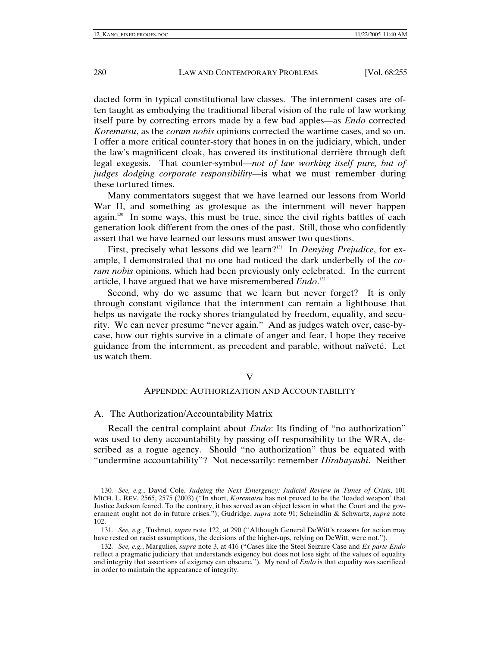dacted form in typical constitutional law classes. The internment cases are often taught as embodying the traditional liberal vision of the rule of law working itself pure by correcting errors made by a few bad apples—as *Endo* corrected *Korematsu*, as the *coram nobis* opinions corrected the wartime cases, and so on. I offer a more critical counter-story that hones in on the judiciary, which, under the law's magnificent cloak, has covered its institutional derrière through deft legal exegesis. That counter-symbol—*not of law working itself pure, but of judges dodging corporate responsibility*—is what we must remember during these tortured times.

Many commentators suggest that we have learned our lessons from World War II, and something as grotesque as the internment will never happen again.<sup>130</sup> In some ways, this must be true, since the civil rights battles of each generation look different from the ones of the past. Still, those who confidently assert that we have learned our lessons must answer two questions.

First, precisely what lessons did we learn?<sup>131</sup> In *Denying Prejudice*, for example, I demonstrated that no one had noticed the dark underbelly of the *coram nobis* opinions, which had been previously only celebrated. In the current article, I have argued that we have misremembered *Endo*. 132

Second, why do we assume that we learn but never forget? It is only through constant vigilance that the internment can remain a lighthouse that helps us navigate the rocky shores triangulated by freedom, equality, and security. We can never presume "never again." And as judges watch over, case-bycase, how our rights survive in a climate of anger and fear, I hope they receive guidance from the internment, as precedent and parable, without naïveté. Let us watch them.

#### V

## APPENDIX: AUTHORIZATION AND ACCOUNTABILITY

#### A. The Authorization/Accountability Matrix

Recall the central complaint about *Endo*: Its finding of "no authorization" was used to deny accountability by passing off responsibility to the WRA, described as a rogue agency. Should "no authorization" thus be equated with "undermine accountability"? Not necessarily: remember *Hirabayashi*. Neither

<sup>130</sup>*. See, e.g.*, David Cole, *Judging the Next Emergency: Judicial Review in Times of Crisis*, 101 MICH. L. REV. 2565, 2575 (2003) ("In short, *Korematsu* has not proved to be the 'loaded weapon' that Justice Jackson feared. To the contrary, it has served as an object lesson in what the Court and the government ought not do in future crises."); Gudridge, *supra* note 91; Scheindlin & Schwartz, *supra* note 102.

<sup>131</sup>*. See, e.g.*, Tushnet, *supra* note 122, at 290 ("Although General DeWitt's reasons for action may have rested on racist assumptions, the decisions of the higher-ups, relying on DeWitt, were not.").

<sup>132</sup>*. See, e.g.*, Margulies, *supra* note 3, at 416 ("Cases like the Steel Seizure Case and *Ex parte Endo* reflect a pragmatic judiciary that understands exigency but does not lose sight of the values of equality and integrity that assertions of exigency can obscure*.*"). My read of *Endo* is that equality was sacrificed in order to maintain the appearance of integrity.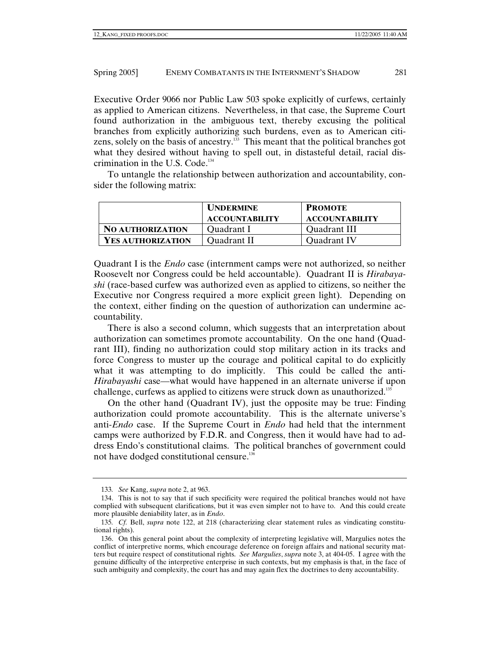Executive Order 9066 nor Public Law 503 spoke explicitly of curfews, certainly as applied to American citizens. Nevertheless, in that case, the Supreme Court found authorization in the ambiguous text, thereby excusing the political branches from explicitly authorizing such burdens, even as to American citizens, solely on the basis of ancestry.<sup>133</sup> This meant that the political branches got what they desired without having to spell out, in distasteful detail, racial discrimination in the U.S. Code.<sup>134</sup>

To untangle the relationship between authorization and accountability, consider the following matrix:

|                         | <b>UNDERMINE</b>      | <b>PROMOTE</b>        |
|-------------------------|-----------------------|-----------------------|
|                         | <b>ACCOUNTABILITY</b> | <b>ACCOUNTABILITY</b> |
| <b>NO AUTHORIZATION</b> | Quadrant I            | Quadrant III          |
| YES AUTHORIZATION       | Quadrant II           | Quadrant IV           |

Quadrant I is the *Endo* case (internment camps were not authorized, so neither Roosevelt nor Congress could be held accountable). Quadrant II is *Hirabayashi* (race-based curfew was authorized even as applied to citizens, so neither the Executive nor Congress required a more explicit green light). Depending on the context, either finding on the question of authorization can undermine accountability.

There is also a second column, which suggests that an interpretation about authorization can sometimes promote accountability. On the one hand (Quadrant III), finding no authorization could stop military action in its tracks and force Congress to muster up the courage and political capital to do explicitly what it was attempting to do implicitly. This could be called the anti-*Hirabayashi* case—what would have happened in an alternate universe if upon challenge, curfews as applied to citizens were struck down as unauthorized.135

On the other hand (Quadrant IV), just the opposite may be true: Finding authorization could promote accountability. This is the alternate universe's anti-*Endo* case. If the Supreme Court in *Endo* had held that the internment camps were authorized by F.D.R. and Congress, then it would have had to address Endo's constitutional claims. The political branches of government could not have dodged constitutional censure.136

<sup>133</sup>*. See* Kang, *supra* note 2, at 963.

 <sup>134.</sup> This is not to say that if such specificity were required the political branches would not have complied with subsequent clarifications, but it was even simpler not to have to. And this could create more plausible deniability later, as in *Endo*.

<sup>135</sup>*. Cf.* Bell, *supra* note 122, at 218 (characterizing clear statement rules as vindicating constitutional rights).

 <sup>136.</sup> On this general point about the complexity of interpreting legislative will, Margulies notes the conflict of interpretive norms, which encourage deference on foreign affairs and national security matters but require respect of constitutional rights. *See Margulies*, *supra* note 3, at 404-05. I agree with the genuine difficulty of the interpretive enterprise in such contexts, but my emphasis is that, in the face of such ambiguity and complexity, the court has and may again flex the doctrines to deny accountability.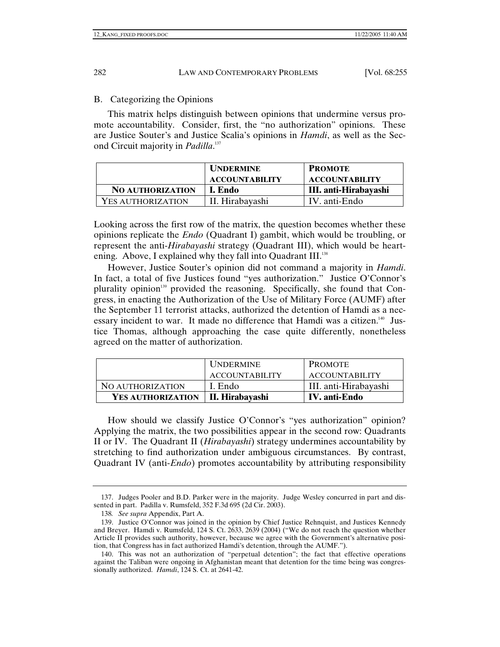# B. Categorizing the Opinions

This matrix helps distinguish between opinions that undermine versus promote accountability. Consider, first, the "no authorization" opinions. These are Justice Souter's and Justice Scalia's opinions in *Hamdi*, as well as the Second Circuit majority in *Padilla*. 137

|                         | <b>UNDERMINE</b>      | <b>PROMOTE</b>        |
|-------------------------|-----------------------|-----------------------|
|                         | <b>ACCOUNTABILITY</b> | <b>ACCOUNTABILITY</b> |
| <b>NO AUTHORIZATION</b> | <b>I.</b> Endo        | III. anti-Hirabayashi |
| YES AUTHORIZATION       | II. Hirabayashi       | IV. anti-Endo         |

Looking across the first row of the matrix, the question becomes whether these opinions replicate the *Endo* (Quadrant I) gambit, which would be troubling, or represent the anti-*Hirabayashi* strategy (Quadrant III), which would be heartening. Above, I explained why they fall into Quadrant III.<sup>138</sup>

However, Justice Souter's opinion did not command a majority in *Hamdi*. In fact, a total of five Justices found "yes authorization." Justice O'Connor's plurality opinion<sup>139</sup> provided the reasoning. Specifically, she found that Congress, in enacting the Authorization of the Use of Military Force (AUMF) after the September 11 terrorist attacks, authorized the detention of Hamdi as a necessary incident to war. It made no difference that Hamdi was a citizen.<sup>140</sup> Justice Thomas, although approaching the case quite differently, nonetheless agreed on the matter of authorization.

|                   | <b>UNDERMINE</b>      | <b>PROMOTE</b>        |
|-------------------|-----------------------|-----------------------|
|                   | <b>ACCOUNTABILITY</b> | ACCOUNTABILITY        |
| NO AUTHORIZATION  | I. Endo               | III. anti-Hirabayashi |
| YES AUTHORIZATION | II. Hirabayashi       | IV. anti-Endo         |

How should we classify Justice O'Connor's "yes authorization" opinion? Applying the matrix, the two possibilities appear in the second row: Quadrants II or IV. The Quadrant II (*Hirabayashi*) strategy undermines accountability by stretching to find authorization under ambiguous circumstances. By contrast, Quadrant IV (anti-*Endo*) promotes accountability by attributing responsibility

 <sup>137.</sup> Judges Pooler and B.D. Parker were in the majority. Judge Wesley concurred in part and dissented in part. Padilla v. Rumsfeld, 352 F.3d 695 (2d Cir. 2003).

<sup>138</sup>*. See supra* Appendix, Part A.

 <sup>139.</sup> Justice O'Connor was joined in the opinion by Chief Justice Rehnquist, and Justices Kennedy and Breyer. Hamdi v. Rumsfeld, 124 S. Ct. 2633, 2639 (2004) ("We do not reach the question whether Article II provides such authority, however, because we agree with the Government's alternative position, that Congress has in fact authorized Hamdi's detention, through the AUMF.").

 <sup>140.</sup> This was not an authorization of "perpetual detention"; the fact that effective operations against the Taliban were ongoing in Afghanistan meant that detention for the time being was congressionally authorized. *Hamdi*, 124 S. Ct. at 2641-42.